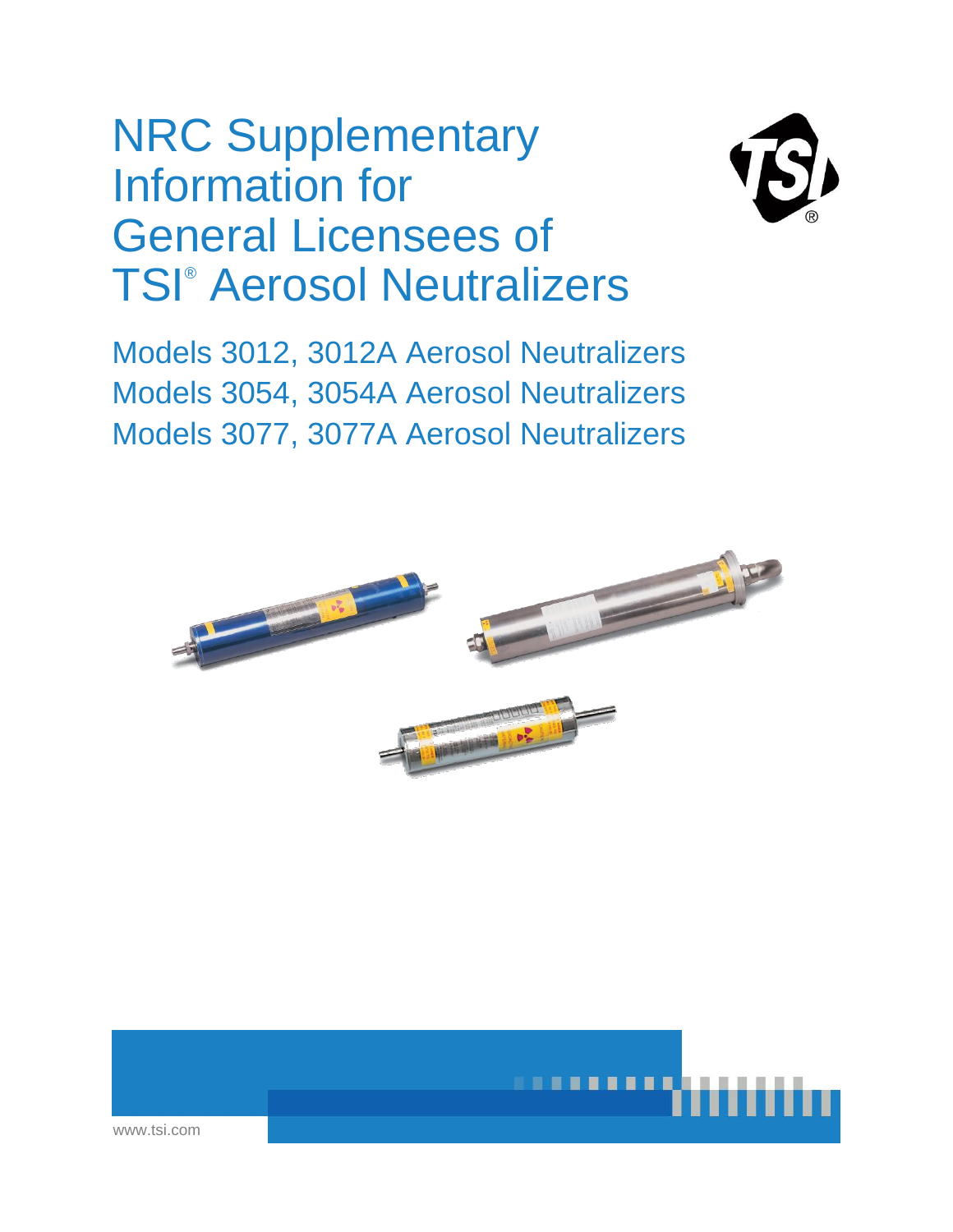# NRC Supplementary Information for General Licensees of TSI® Aerosol Neutralizers



Models 3012, 3012A Aerosol Neutralizers Models 3054, 3054A Aerosol Neutralizers Models 3077, 3077A Aerosol Neutralizers



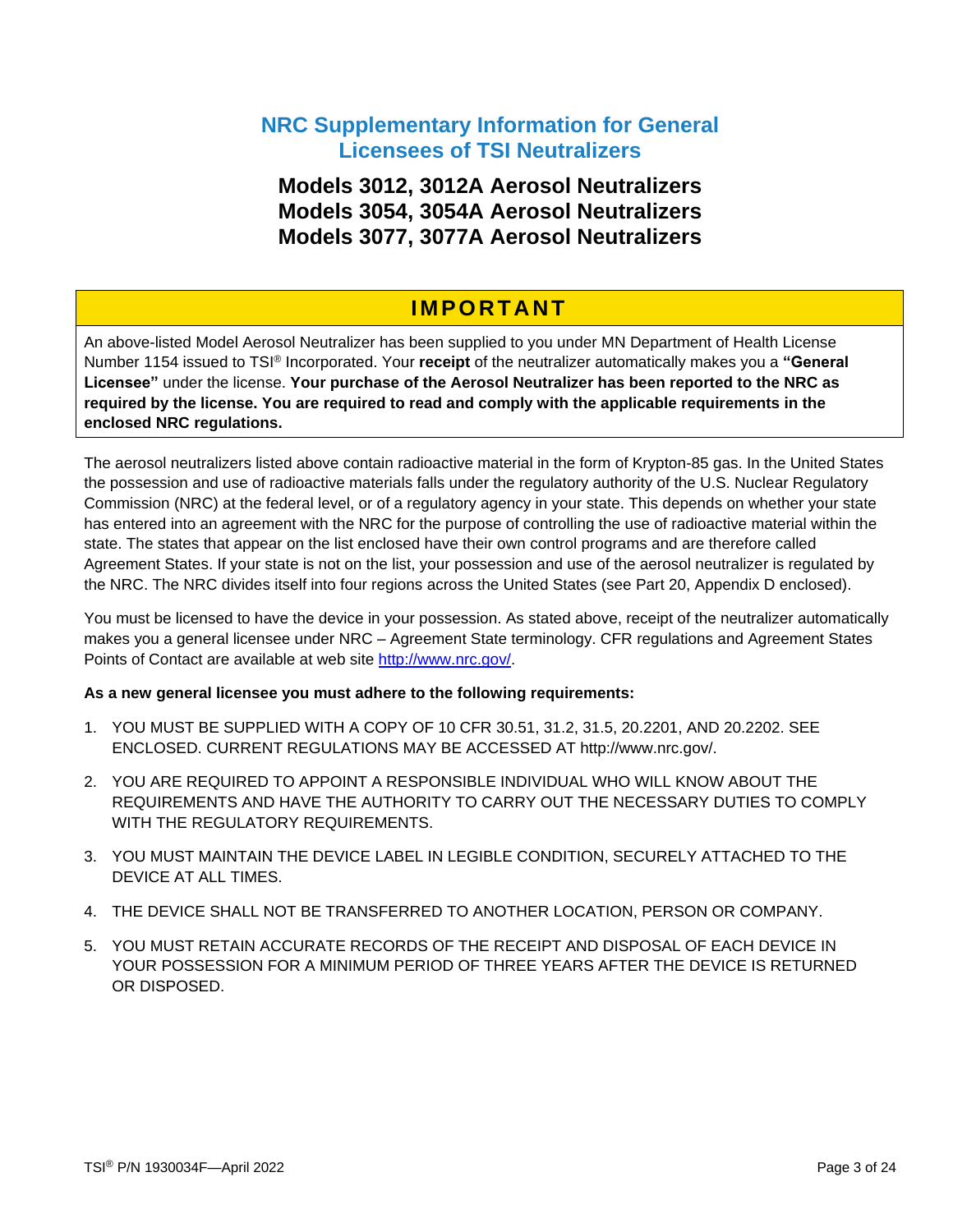### **NRC Supplementary Information for General Licensees of TSI Neutralizers**

**Models 3012, 3012A Aerosol Neutralizers Models 3054, 3054A Aerosol Neutralizers Models 3077, 3077A Aerosol Neutralizers**

### **I M P O R T A N T**

An above-listed Model Aerosol Neutralizer has been supplied to you under MN Department of Health License Number 1154 issued to TSI® Incorporated. Your **receipt** of the neutralizer automatically makes you a **"General Licensee"** under the license. **Your purchase of the Aerosol Neutralizer has been reported to the NRC as required by the license. You are required to read and comply with the applicable requirements in the enclosed NRC regulations.**

The aerosol neutralizers listed above contain radioactive material in the form of Krypton-85 gas. In the United States the possession and use of radioactive materials falls under the regulatory authority of the U.S. Nuclear Regulatory Commission (NRC) at the federal level, or of a regulatory agency in your state. This depends on whether your state has entered into an agreement with the NRC for the purpose of controlling the use of radioactive material within the state. The states that appear on the list enclosed have their own control programs and are therefore called Agreement States. If your state is not on the list, your possession and use of the aerosol neutralizer is regulated by the NRC. The NRC divides itself into four regions across the United States (see Part 20, Appendix D enclosed).

You must be licensed to have the device in your possession. As stated above, receipt of the neutralizer automatically makes you a general licensee under NRC – Agreement State terminology. CFR regulations and Agreement States Points of Contact are available at web site [http://www.nrc.gov/.](http://www.nrc.gov/)

#### **As a new general licensee you must adhere to the following requirements:**

- 1. YOU MUST BE SUPPLIED WITH A COPY OF 10 CFR 30.51, 31.2, 31.5, 20.2201, AND 20.2202. SEE ENCLOSED. CURRENT REGULATIONS MAY BE ACCESSED AT http://www.nrc.gov/.
- 2. YOU ARE REQUIRED TO APPOINT A RESPONSIBLE INDIVIDUAL WHO WILL KNOW ABOUT THE REQUIREMENTS AND HAVE THE AUTHORITY TO CARRY OUT THE NECESSARY DUTIES TO COMPLY WITH THE REGULATORY REQUIREMENTS.
- 3. YOU MUST MAINTAIN THE DEVICE LABEL IN LEGIBLE CONDITION, SECURELY ATTACHED TO THE DEVICE AT ALL TIMES.
- 4. THE DEVICE SHALL NOT BE TRANSFERRED TO ANOTHER LOCATION, PERSON OR COMPANY.
- 5. YOU MUST RETAIN ACCURATE RECORDS OF THE RECEIPT AND DISPOSAL OF EACH DEVICE IN YOUR POSSESSION FOR A MINIMUM PERIOD OF THREE YEARS AFTER THE DEVICE IS RETURNED OR DISPOSED.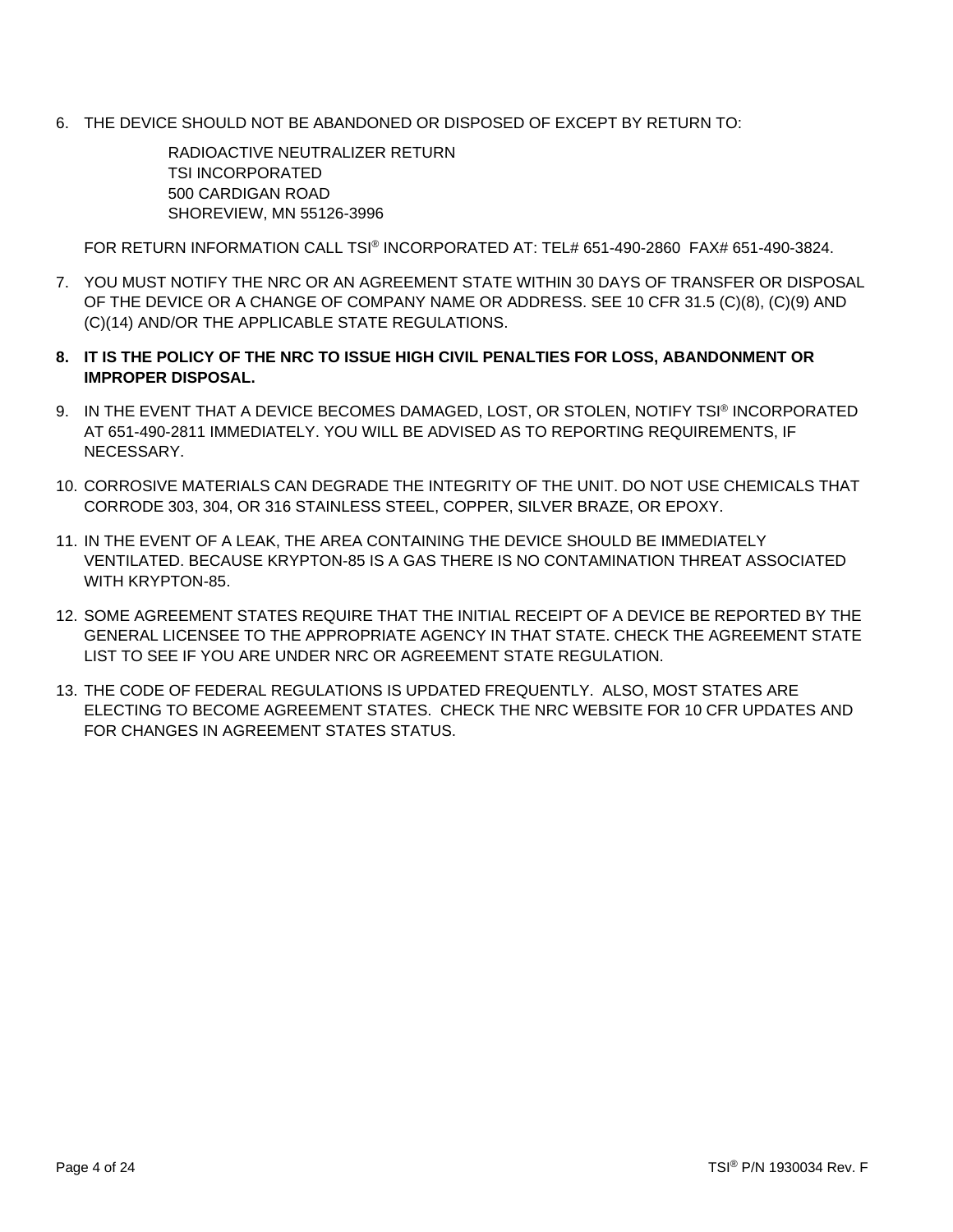6. THE DEVICE SHOULD NOT BE ABANDONED OR DISPOSED OF EXCEPT BY RETURN TO:

RADIOACTIVE NEUTRALIZER RETURN TSI INCORPORATED 500 CARDIGAN ROAD SHOREVIEW, MN 55126-3996

FOR RETURN INFORMATION CALL TSI® INCORPORATED AT: TEL# 651-490-2860 FAX# 651-490-3824.

- 7. YOU MUST NOTIFY THE NRC OR AN AGREEMENT STATE WITHIN 30 DAYS OF TRANSFER OR DISPOSAL OF THE DEVICE OR A CHANGE OF COMPANY NAME OR ADDRESS. SEE 10 CFR 31.5 (C)(8), (C)(9) AND (C)(14) AND/OR THE APPLICABLE STATE REGULATIONS.
- **8. IT IS THE POLICY OF THE NRC TO ISSUE HIGH CIVIL PENALTIES FOR LOSS, ABANDONMENT OR IMPROPER DISPOSAL.**
- 9. IN THE EVENT THAT A DEVICE BECOMES DAMAGED, LOST, OR STOLEN, NOTIFY TSI® INCORPORATED AT 651-490-2811 IMMEDIATELY. YOU WILL BE ADVISED AS TO REPORTING REQUIREMENTS, IF NECESSARY.
- 10. CORROSIVE MATERIALS CAN DEGRADE THE INTEGRITY OF THE UNIT. DO NOT USE CHEMICALS THAT CORRODE 303, 304, OR 316 STAINLESS STEEL, COPPER, SILVER BRAZE, OR EPOXY.
- 11. IN THE EVENT OF A LEAK, THE AREA CONTAINING THE DEVICE SHOULD BE IMMEDIATELY VENTILATED. BECAUSE KRYPTON-85 IS A GAS THERE IS NO CONTAMINATION THREAT ASSOCIATED WITH KRYPTON-85.
- 12. SOME AGREEMENT STATES REQUIRE THAT THE INITIAL RECEIPT OF A DEVICE BE REPORTED BY THE GENERAL LICENSEE TO THE APPROPRIATE AGENCY IN THAT STATE. CHECK THE AGREEMENT STATE LIST TO SEE IF YOU ARE UNDER NRC OR AGREEMENT STATE REGULATION.
- 13. THE CODE OF FEDERAL REGULATIONS IS UPDATED FREQUENTLY. ALSO, MOST STATES ARE ELECTING TO BECOME AGREEMENT STATES. CHECK THE NRC WEBSITE FOR 10 CFR UPDATES AND FOR CHANGES IN AGREEMENT STATES STATUS.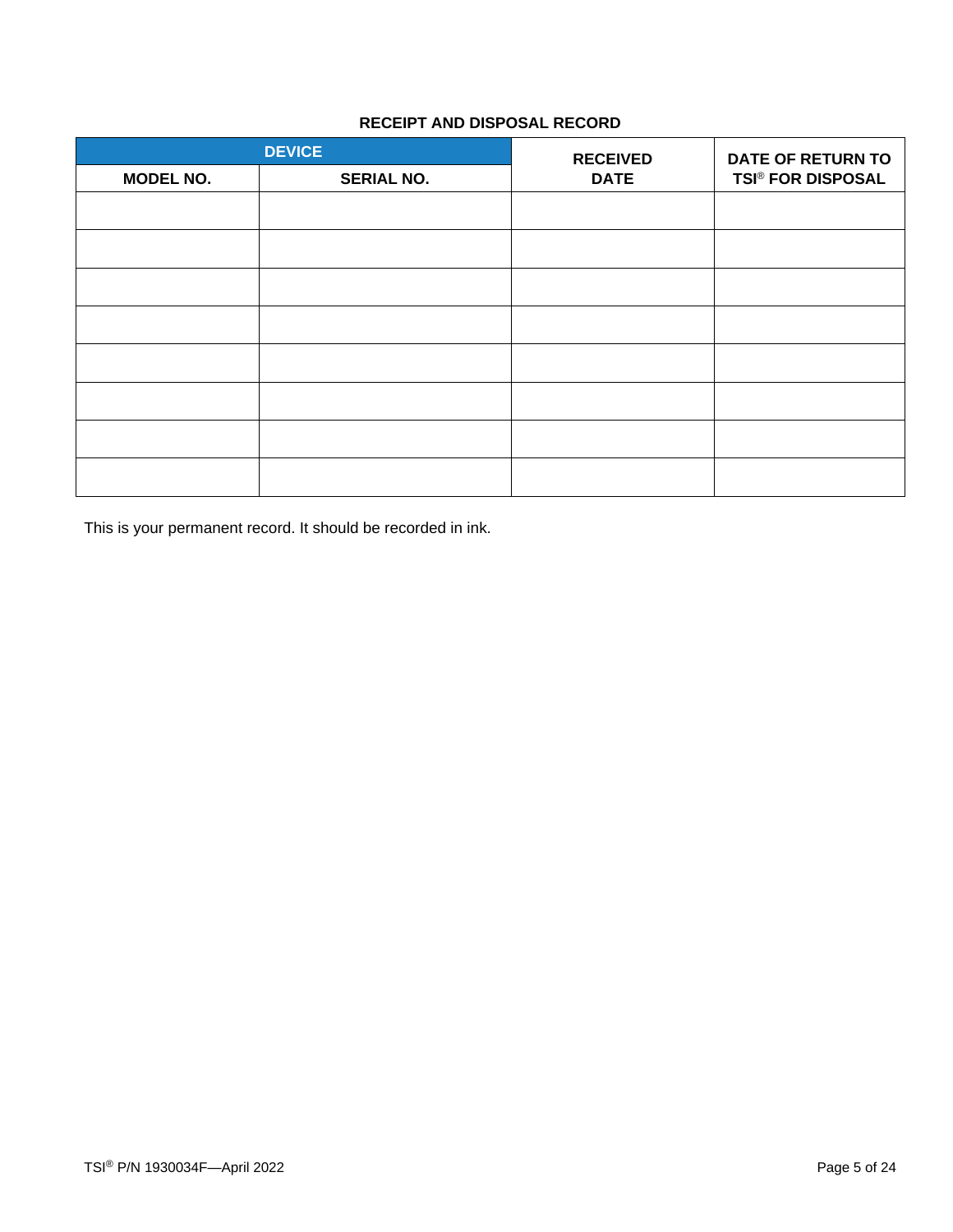### **RECEIPT AND DISPOSAL RECORD**

| <b>DEVICE</b>    |                   | <b>RECEIVED</b> | <b>DATE OF RETURN TO</b> |
|------------------|-------------------|-----------------|--------------------------|
| <b>MODEL NO.</b> | <b>SERIAL NO.</b> | <b>DATE</b>     | <b>TSI® FOR DISPOSAL</b> |
|                  |                   |                 |                          |
|                  |                   |                 |                          |
|                  |                   |                 |                          |
|                  |                   |                 |                          |
|                  |                   |                 |                          |
|                  |                   |                 |                          |
|                  |                   |                 |                          |
|                  |                   |                 |                          |

This is your permanent record. It should be recorded in ink.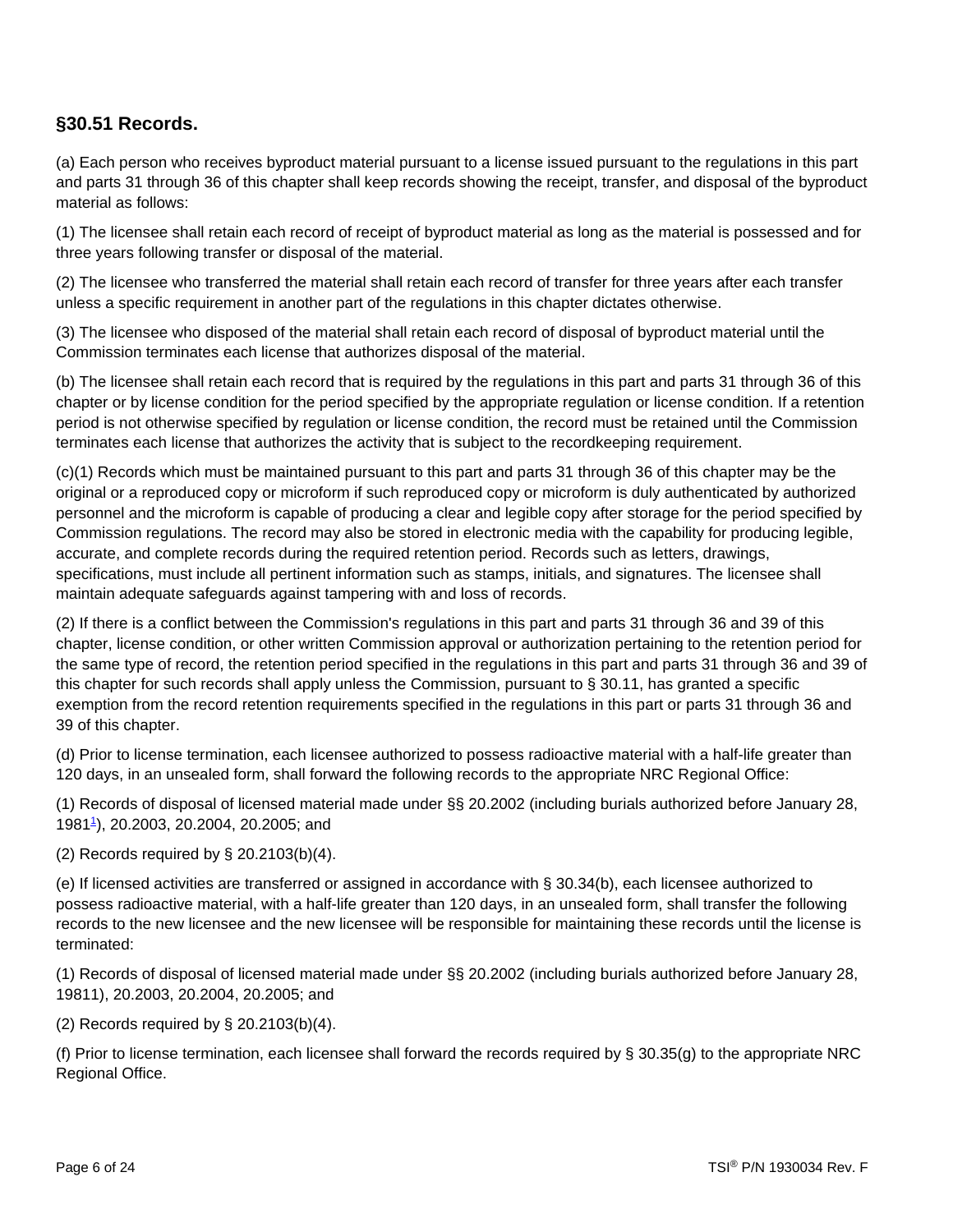### **§30.51 Records.**

(a) Each person who receives byproduct material pursuant to a license issued pursuant to the regulations in this part and parts 31 through 36 of this chapter shall keep records showing the receipt, transfer, and disposal of the byproduct material as follows:

(1) The licensee shall retain each record of receipt of byproduct material as long as the material is possessed and for three years following transfer or disposal of the material.

(2) The licensee who transferred the material shall retain each record of transfer for three years after each transfer unless a specific requirement in another part of the regulations in this chapter dictates otherwise.

(3) The licensee who disposed of the material shall retain each record of disposal of byproduct material until the Commission terminates each license that authorizes disposal of the material.

(b) The licensee shall retain each record that is required by the regulations in this part and parts 31 through 36 of this chapter or by license condition for the period specified by the appropriate regulation or license condition. If a retention period is not otherwise specified by regulation or license condition, the record must be retained until the Commission terminates each license that authorizes the activity that is subject to the recordkeeping requirement.

(c)(1) Records which must be maintained pursuant to this part and parts 31 through 36 of this chapter may be the original or a reproduced copy or microform if such reproduced copy or microform is duly authenticated by authorized personnel and the microform is capable of producing a clear and legible copy after storage for the period specified by Commission regulations. The record may also be stored in electronic media with the capability for producing legible, accurate, and complete records during the required retention period. Records such as letters, drawings, specifications, must include all pertinent information such as stamps, initials, and signatures. The licensee shall maintain adequate safeguards against tampering with and loss of records.

(2) If there is a conflict between the Commission's regulations in this part and parts 31 through 36 and 39 of this chapter, license condition, or other written Commission approval or authorization pertaining to the retention period for the same type of record, the retention period specified in the regulations in this part and parts 31 through 36 and 39 of this chapter for such records shall apply unless the Commission, pursuant to § 30.11, has granted a specific exemption from the record retention requirements specified in the regulations in this part or parts 31 through 36 and 39 of this chapter.

(d) Prior to license termination, each licensee authorized to possess radioactive material with a half-life greater than 120 days, in an unsealed form, shall forward the following records to the appropriate NRC Regional Office:

(1) Records of disposal of licensed material made under §§ 20.2002 (including burials authorized before January 28, 1981[1](https://www.nrc.gov/reading-rm/doc-collections/cfr/part030/part030-0051.html#N_1_3051) ), 20.2003, 20.2004, 20.2005; and

(2) Records required by § 20.2103(b)(4).

(e) If licensed activities are transferred or assigned in accordance with § 30.34(b), each licensee authorized to possess radioactive material, with a half-life greater than 120 days, in an unsealed form, shall transfer the following records to the new licensee and the new licensee will be responsible for maintaining these records until the license is terminated:

(1) Records of disposal of licensed material made under §§ 20.2002 (including burials authorized before January 28, 19811), 20.2003, 20.2004, 20.2005; and

#### (2) Records required by § 20.2103(b)(4).

(f) Prior to license termination, each licensee shall forward the records required by § 30.35(g) to the appropriate NRC Regional Office.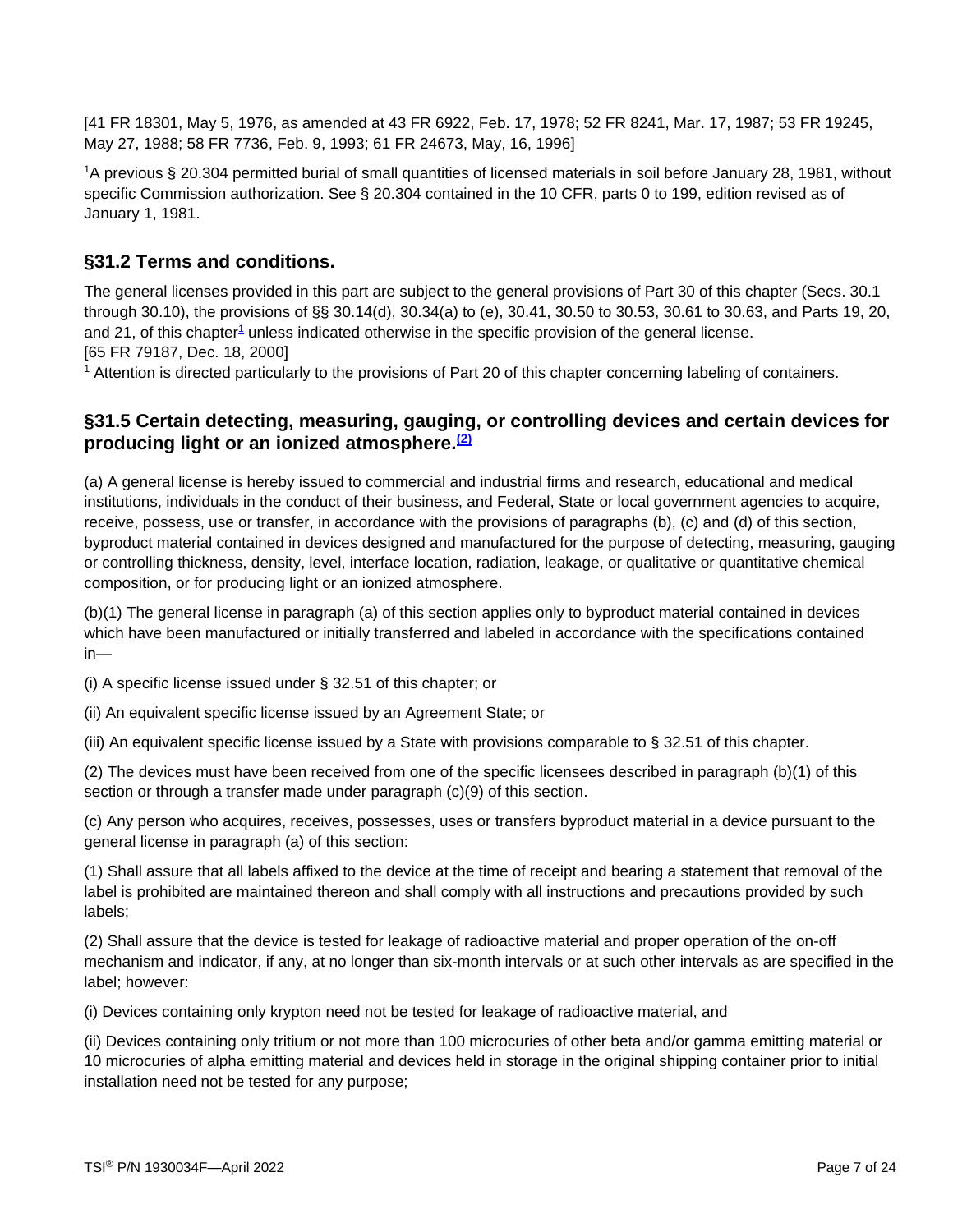[41 FR 18301, May 5, 1976, as amended at 43 FR 6922, Feb. 17, 1978; 52 FR 8241, Mar. 17, 1987; 53 FR 19245, May 27, 1988; 58 FR 7736, Feb. 9, 1993; 61 FR 24673, May, 16, 1996]

<span id="page-6-0"></span><sup>1</sup>A previous § 20.304 permitted burial of small quantities of licensed materials in soil before January 28, 1981, without specific Commission authorization. See § 20.304 contained in the 10 CFR, parts 0 to 199, edition revised as of January 1, 1981.

### **§31.2 Terms and conditions.**

The general licenses provided in this part are subject to the general provisions of Part 30 of this chapter (Secs. 30.1 through 30.10), the provisions of §§ 30.14(d), 30.34(a) to (e), 30.41, 30.50 to 30.53, 30.61 to 30.63, and Parts 19, 20, and 2[1](https://www.nrc.gov/reading-rm/doc-collections/cfr/part031/part031-0002.html#N_1_312), of this chapter<sup>1</sup> unless indicated otherwise in the specific provision of the general license. [65 FR 79187, Dec. 18, 2000]

<sup>1</sup> Attention is directed particularly to the provisions of Part 20 of this chapter concerning labeling of containers.

### **§31.5 Certain detecting, measuring, gauging, or controlling devices and certain devices for producing light or an ionized atmosphere. [\(2\)](#page-6-0)**

(a) A general license is hereby issued to commercial and industrial firms and research, educational and medical institutions, individuals in the conduct of their business, and Federal, State or local government agencies to acquire, receive, possess, use or transfer, in accordance with the provisions of paragraphs (b), (c) and (d) of this section, byproduct material contained in devices designed and manufactured for the purpose of detecting, measuring, gauging or controlling thickness, density, level, interface location, radiation, leakage, or qualitative or quantitative chemical composition, or for producing light or an ionized atmosphere.

(b)(1) The general license in paragraph (a) of this section applies only to byproduct material contained in devices which have been manufactured or initially transferred and labeled in accordance with the specifications contained in—

(i) A specific license issued under § 32.51 of this chapter; or

(ii) An equivalent specific license issued by an Agreement State; or

(iii) An equivalent specific license issued by a State with provisions comparable to § 32.51 of this chapter.

(2) The devices must have been received from one of the specific licensees described in paragraph (b)(1) of this section or through a transfer made under paragraph (c)(9) of this section.

(c) Any person who acquires, receives, possesses, uses or transfers byproduct material in a device pursuant to the general license in paragraph (a) of this section:

(1) Shall assure that all labels affixed to the device at the time of receipt and bearing a statement that removal of the label is prohibited are maintained thereon and shall comply with all instructions and precautions provided by such labels;

(2) Shall assure that the device is tested for leakage of radioactive material and proper operation of the on-off mechanism and indicator, if any, at no longer than six-month intervals or at such other intervals as are specified in the label; however:

(i) Devices containing only krypton need not be tested for leakage of radioactive material, and

(ii) Devices containing only tritium or not more than 100 microcuries of other beta and/or gamma emitting material or 10 microcuries of alpha emitting material and devices held in storage in the original shipping container prior to initial installation need not be tested for any purpose;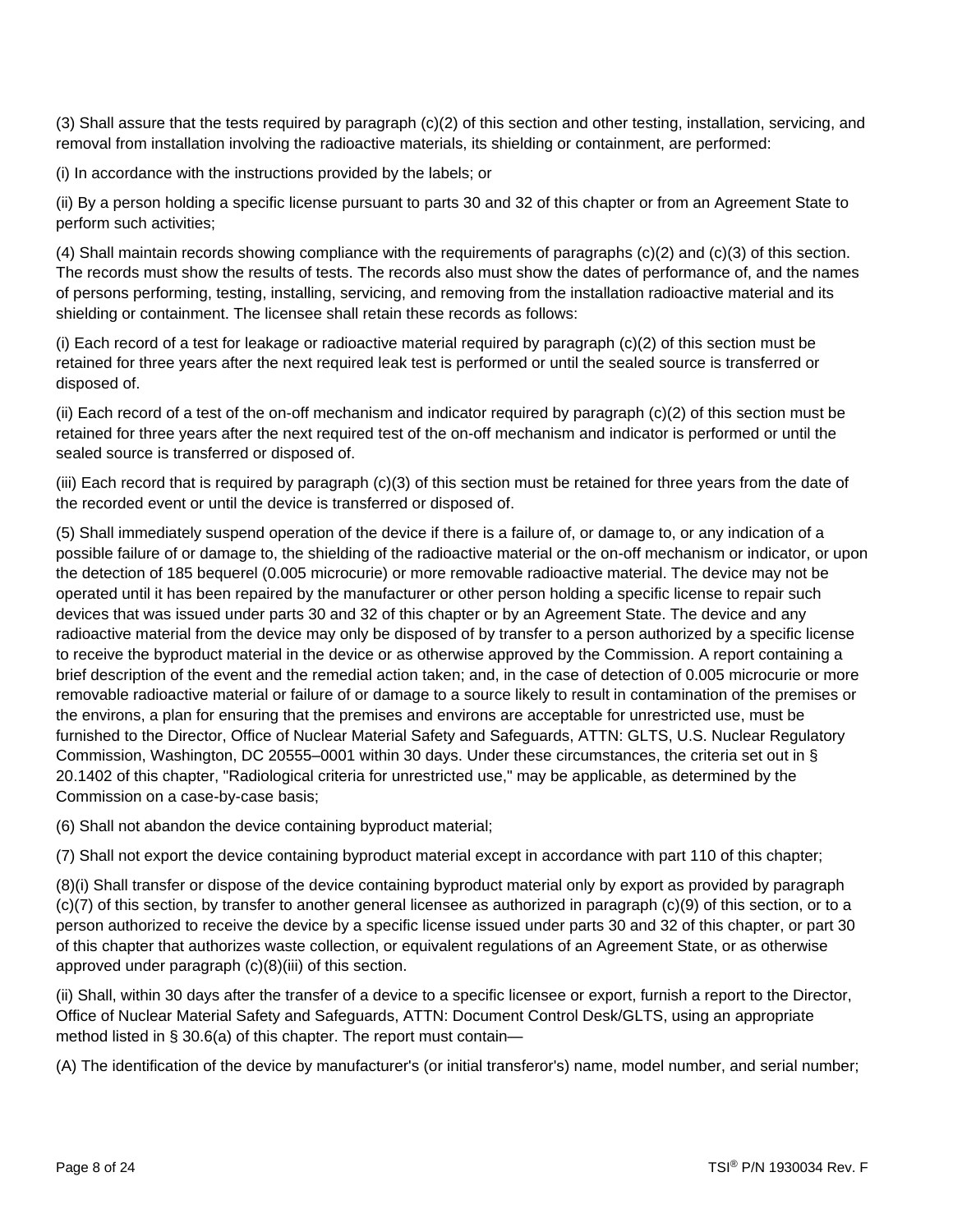(3) Shall assure that the tests required by paragraph (c)(2) of this section and other testing, installation, servicing, and removal from installation involving the radioactive materials, its shielding or containment, are performed:

(i) In accordance with the instructions provided by the labels; or

(ii) By a person holding a specific license pursuant to parts 30 and 32 of this chapter or from an Agreement State to perform such activities;

(4) Shall maintain records showing compliance with the requirements of paragraphs (c)(2) and (c)(3) of this section. The records must show the results of tests. The records also must show the dates of performance of, and the names of persons performing, testing, installing, servicing, and removing from the installation radioactive material and its shielding or containment. The licensee shall retain these records as follows:

(i) Each record of a test for leakage or radioactive material required by paragraph (c)(2) of this section must be retained for three years after the next required leak test is performed or until the sealed source is transferred or disposed of.

(ii) Each record of a test of the on-off mechanism and indicator required by paragraph (c)(2) of this section must be retained for three years after the next required test of the on-off mechanism and indicator is performed or until the sealed source is transferred or disposed of.

(iii) Each record that is required by paragraph (c)(3) of this section must be retained for three years from the date of the recorded event or until the device is transferred or disposed of.

(5) Shall immediately suspend operation of the device if there is a failure of, or damage to, or any indication of a possible failure of or damage to, the shielding of the radioactive material or the on-off mechanism or indicator, or upon the detection of 185 bequerel (0.005 microcurie) or more removable radioactive material. The device may not be operated until it has been repaired by the manufacturer or other person holding a specific license to repair such devices that was issued under parts 30 and 32 of this chapter or by an Agreement State. The device and any radioactive material from the device may only be disposed of by transfer to a person authorized by a specific license to receive the byproduct material in the device or as otherwise approved by the Commission. A report containing a brief description of the event and the remedial action taken; and, in the case of detection of 0.005 microcurie or more removable radioactive material or failure of or damage to a source likely to result in contamination of the premises or the environs, a plan for ensuring that the premises and environs are acceptable for unrestricted use, must be furnished to the Director, Office of Nuclear Material Safety and Safeguards, ATTN: GLTS, U.S. Nuclear Regulatory Commission, Washington, DC 20555–0001 within 30 days. Under these circumstances, the criteria set out in § 20.1402 of this chapter, "Radiological criteria for unrestricted use," may be applicable, as determined by the Commission on a case-by-case basis;

(6) Shall not abandon the device containing byproduct material;

(7) Shall not export the device containing byproduct material except in accordance with part 110 of this chapter;

(8)(i) Shall transfer or dispose of the device containing byproduct material only by export as provided by paragraph (c)(7) of this section, by transfer to another general licensee as authorized in paragraph (c)(9) of this section, or to a person authorized to receive the device by a specific license issued under parts 30 and 32 of this chapter, or part 30 of this chapter that authorizes waste collection, or equivalent regulations of an Agreement State, or as otherwise approved under paragraph (c)(8)(iii) of this section.

(ii) Shall, within 30 days after the transfer of a device to a specific licensee or export, furnish a report to the Director, Office of Nuclear Material Safety and Safeguards, ATTN: Document Control Desk/GLTS, using an appropriate method listed in § 30.6(a) of this chapter. The report must contain—

(A) The identification of the device by manufacturer's (or initial transferor's) name, model number, and serial number;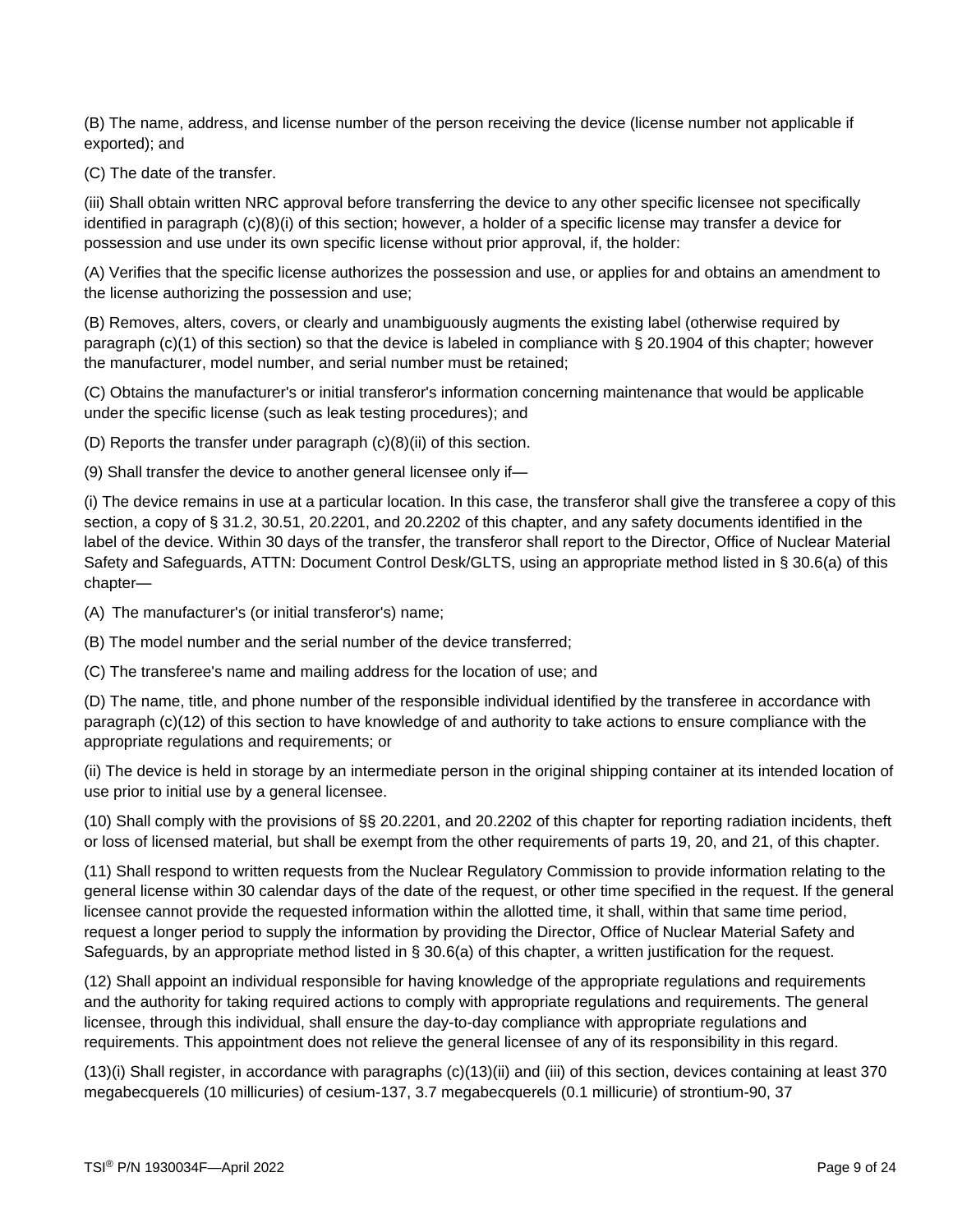(B) The name, address, and license number of the person receiving the device (license number not applicable if exported); and

(C) The date of the transfer.

(iii) Shall obtain written NRC approval before transferring the device to any other specific licensee not specifically identified in paragraph (c)(8)(i) of this section; however, a holder of a specific license may transfer a device for possession and use under its own specific license without prior approval, if, the holder:

(A) Verifies that the specific license authorizes the possession and use, or applies for and obtains an amendment to the license authorizing the possession and use;

(B) Removes, alters, covers, or clearly and unambiguously augments the existing label (otherwise required by paragraph (c)(1) of this section) so that the device is labeled in compliance with § 20.1904 of this chapter; however the manufacturer, model number, and serial number must be retained;

(C) Obtains the manufacturer's or initial transferor's information concerning maintenance that would be applicable under the specific license (such as leak testing procedures); and

(D) Reports the transfer under paragraph (c)(8)(ii) of this section.

(9) Shall transfer the device to another general licensee only if—

(i) The device remains in use at a particular location. In this case, the transferor shall give the transferee a copy of this section, a copy of § 31.2, 30.51, 20.2201, and 20.2202 of this chapter, and any safety documents identified in the label of the device. Within 30 days of the transfer, the transferor shall report to the Director, Office of Nuclear Material Safety and Safeguards, ATTN: Document Control Desk/GLTS, using an appropriate method listed in § 30.6(a) of this chapter—

(A) The manufacturer's (or initial transferor's) name;

(B) The model number and the serial number of the device transferred;

(C) The transferee's name and mailing address for the location of use; and

(D) The name, title, and phone number of the responsible individual identified by the transferee in accordance with paragraph (c)(12) of this section to have knowledge of and authority to take actions to ensure compliance with the appropriate regulations and requirements; or

(ii) The device is held in storage by an intermediate person in the original shipping container at its intended location of use prior to initial use by a general licensee.

(10) Shall comply with the provisions of §§ 20.2201, and 20.2202 of this chapter for reporting radiation incidents, theft or loss of licensed material, but shall be exempt from the other requirements of parts 19, 20, and 21, of this chapter.

(11) Shall respond to written requests from the Nuclear Regulatory Commission to provide information relating to the general license within 30 calendar days of the date of the request, or other time specified in the request. If the general licensee cannot provide the requested information within the allotted time, it shall, within that same time period, request a longer period to supply the information by providing the Director, Office of Nuclear Material Safety and Safeguards, by an appropriate method listed in § 30.6(a) of this chapter, a written justification for the request.

(12) Shall appoint an individual responsible for having knowledge of the appropriate regulations and requirements and the authority for taking required actions to comply with appropriate regulations and requirements. The general licensee, through this individual, shall ensure the day-to-day compliance with appropriate regulations and requirements. This appointment does not relieve the general licensee of any of its responsibility in this regard.

(13)(i) Shall register, in accordance with paragraphs (c)(13)(ii) and (iii) of this section, devices containing at least 370 megabecquerels (10 millicuries) of cesium-137, 3.7 megabecquerels (0.1 millicurie) of strontium-90, 37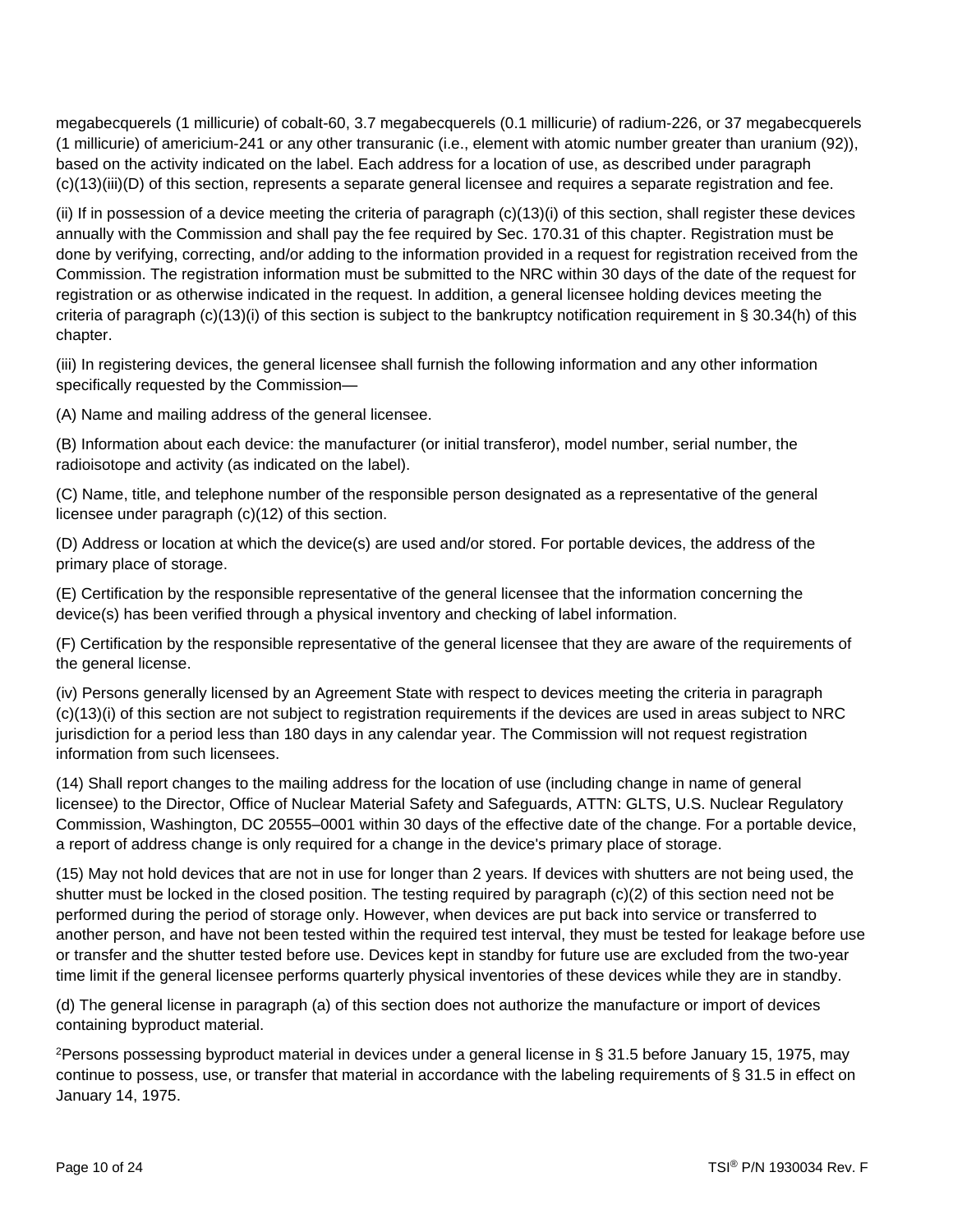megabecquerels (1 millicurie) of cobalt-60, 3.7 megabecquerels (0.1 millicurie) of radium-226, or 37 megabecquerels (1 millicurie) of americium-241 or any other transuranic (i.e., element with atomic number greater than uranium (92)), based on the activity indicated on the label. Each address for a location of use, as described under paragraph (c)(13)(iii)(D) of this section, represents a separate general licensee and requires a separate registration and fee.

(ii) If in possession of a device meeting the criteria of paragraph  $(c)(13)(i)$  of this section, shall register these devices annually with the Commission and shall pay the fee required by Sec. 170.31 of this chapter. Registration must be done by verifying, correcting, and/or adding to the information provided in a request for registration received from the Commission. The registration information must be submitted to the NRC within 30 days of the date of the request for registration or as otherwise indicated in the request. In addition, a general licensee holding devices meeting the criteria of paragraph  $(c)(13)(i)$  of this section is subject to the bankruptcy notification requirement in § 30.34(h) of this chapter.

(iii) In registering devices, the general licensee shall furnish the following information and any other information specifically requested by the Commission—

(A) Name and mailing address of the general licensee.

(B) Information about each device: the manufacturer (or initial transferor), model number, serial number, the radioisotope and activity (as indicated on the label).

(C) Name, title, and telephone number of the responsible person designated as a representative of the general licensee under paragraph (c)(12) of this section.

(D) Address or location at which the device(s) are used and/or stored. For portable devices, the address of the primary place of storage.

(E) Certification by the responsible representative of the general licensee that the information concerning the device(s) has been verified through a physical inventory and checking of label information.

(F) Certification by the responsible representative of the general licensee that they are aware of the requirements of the general license.

(iv) Persons generally licensed by an Agreement State with respect to devices meeting the criteria in paragraph (c)(13)(i) of this section are not subject to registration requirements if the devices are used in areas subject to NRC jurisdiction for a period less than 180 days in any calendar year. The Commission will not request registration information from such licensees.

(14) Shall report changes to the mailing address for the location of use (including change in name of general licensee) to the Director, Office of Nuclear Material Safety and Safeguards, ATTN: GLTS, U.S. Nuclear Regulatory Commission, Washington, DC 20555–0001 within 30 days of the effective date of the change. For a portable device, a report of address change is only required for a change in the device's primary place of storage.

(15) May not hold devices that are not in use for longer than 2 years. If devices with shutters are not being used, the shutter must be locked in the closed position. The testing required by paragraph (c)(2) of this section need not be performed during the period of storage only. However, when devices are put back into service or transferred to another person, and have not been tested within the required test interval, they must be tested for leakage before use or transfer and the shutter tested before use. Devices kept in standby for future use are excluded from the two-year time limit if the general licensee performs quarterly physical inventories of these devices while they are in standby.

(d) The general license in paragraph (a) of this section does not authorize the manufacture or import of devices containing byproduct material.

<sup>2</sup>Persons possessing byproduct material in devices under a general license in § 31.5 before January 15, 1975, may continue to possess, use, or transfer that material in accordance with the labeling requirements of § 31.5 in effect on January 14, 1975.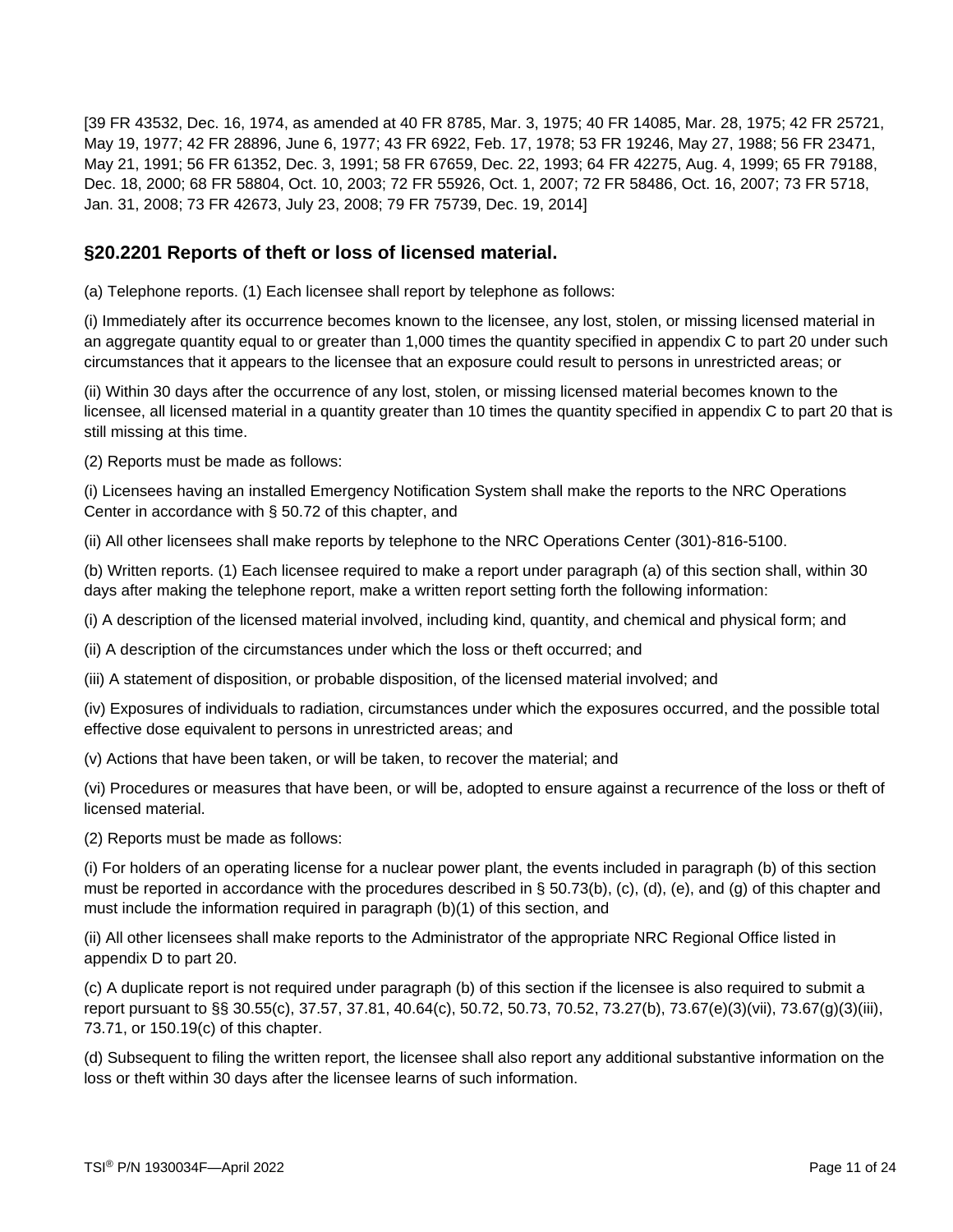[39 FR 43532, Dec. 16, 1974, as amended at 40 FR 8785, Mar. 3, 1975; 40 FR 14085, Mar. 28, 1975; 42 FR 25721, May 19, 1977; 42 FR 28896, June 6, 1977; 43 FR 6922, Feb. 17, 1978; 53 FR 19246, May 27, 1988; 56 FR 23471, May 21, 1991; 56 FR 61352, Dec. 3, 1991; 58 FR 67659, Dec. 22, 1993; 64 FR 42275, Aug. 4, 1999; 65 FR 79188, Dec. 18, 2000; 68 FR 58804, Oct. 10, 2003; 72 FR 55926, Oct. 1, 2007; 72 FR 58486, Oct. 16, 2007; 73 FR 5718, Jan. 31, 2008; 73 FR 42673, July 23, 2008; 79 FR 75739, Dec. 19, 2014]

### **§20.2201 Reports of theft or loss of licensed material.**

(a) Telephone reports. (1) Each licensee shall report by telephone as follows:

(i) Immediately after its occurrence becomes known to the licensee, any lost, stolen, or missing licensed material in an aggregate quantity equal to or greater than 1,000 times the quantity specified in appendix C to part 20 under such circumstances that it appears to the licensee that an exposure could result to persons in unrestricted areas; or

(ii) Within 30 days after the occurrence of any lost, stolen, or missing licensed material becomes known to the licensee, all licensed material in a quantity greater than 10 times the quantity specified in appendix C to part 20 that is still missing at this time.

(2) Reports must be made as follows:

(i) Licensees having an installed Emergency Notification System shall make the reports to the NRC Operations Center in accordance with § 50.72 of this chapter, and

(ii) All other licensees shall make reports by telephone to the NRC Operations Center (301)-816-5100.

(b) Written reports. (1) Each licensee required to make a report under paragraph (a) of this section shall, within 30 days after making the telephone report, make a written report setting forth the following information:

(i) A description of the licensed material involved, including kind, quantity, and chemical and physical form; and

(ii) A description of the circumstances under which the loss or theft occurred; and

(iii) A statement of disposition, or probable disposition, of the licensed material involved; and

(iv) Exposures of individuals to radiation, circumstances under which the exposures occurred, and the possible total effective dose equivalent to persons in unrestricted areas; and

(v) Actions that have been taken, or will be taken, to recover the material; and

(vi) Procedures or measures that have been, or will be, adopted to ensure against a recurrence of the loss or theft of licensed material.

(2) Reports must be made as follows:

(i) For holders of an operating license for a nuclear power plant, the events included in paragraph (b) of this section must be reported in accordance with the procedures described in § 50.73(b), (c), (d), (e), and (g) of this chapter and must include the information required in paragraph (b)(1) of this section, and

(ii) All other licensees shall make reports to the Administrator of the appropriate NRC Regional Office listed in appendix D to part 20.

(c) A duplicate report is not required under paragraph (b) of this section if the licensee is also required to submit a report pursuant to §§ 30.55(c), 37.57, 37.81, 40.64(c), 50.72, 50.73, 70.52, 73.27(b), 73.67(e)(3)(vii), 73.67(g)(3)(iii), 73.71, or 150.19(c) of this chapter.

(d) Subsequent to filing the written report, the licensee shall also report any additional substantive information on the loss or theft within 30 days after the licensee learns of such information.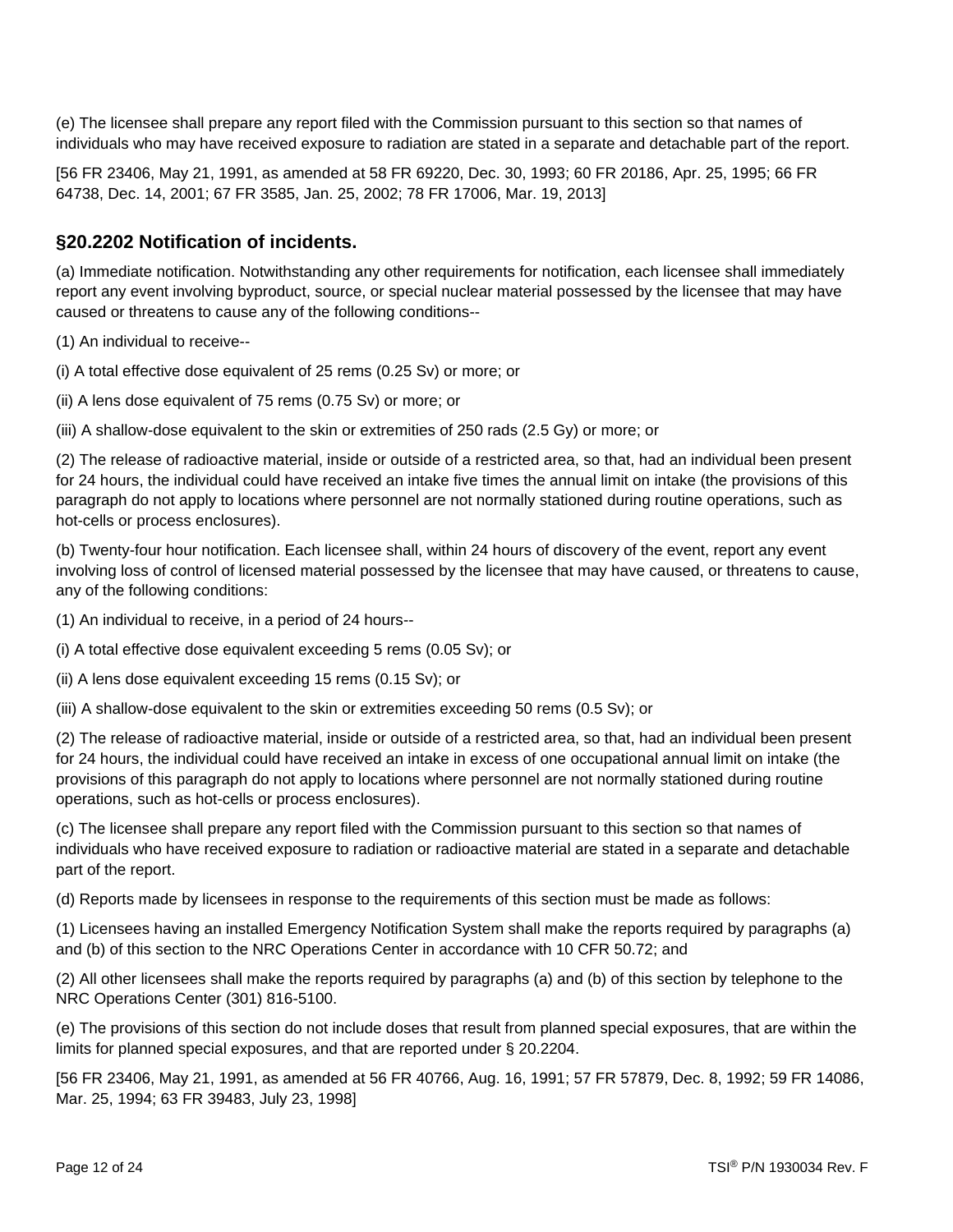(e) The licensee shall prepare any report filed with the Commission pursuant to this section so that names of individuals who may have received exposure to radiation are stated in a separate and detachable part of the report.

[56 FR 23406, May 21, 1991, as amended at 58 FR 69220, Dec. 30, 1993; 60 FR 20186, Apr. 25, 1995; 66 FR 64738, Dec. 14, 2001; 67 FR 3585, Jan. 25, 2002; 78 FR 17006, Mar. 19, 2013]

#### **§20.2202 Notification of incidents.**

(a) Immediate notification. Notwithstanding any other requirements for notification, each licensee shall immediately report any event involving byproduct, source, or special nuclear material possessed by the licensee that may have caused or threatens to cause any of the following conditions--

(1) An individual to receive--

(i) A total effective dose equivalent of 25 rems (0.25 Sv) or more; or

(ii) A lens dose equivalent of 75 rems (0.75 Sv) or more; or

(iii) A shallow-dose equivalent to the skin or extremities of 250 rads (2.5 Gy) or more; or

(2) The release of radioactive material, inside or outside of a restricted area, so that, had an individual been present for 24 hours, the individual could have received an intake five times the annual limit on intake (the provisions of this paragraph do not apply to locations where personnel are not normally stationed during routine operations, such as hot-cells or process enclosures).

(b) Twenty-four hour notification. Each licensee shall, within 24 hours of discovery of the event, report any event involving loss of control of licensed material possessed by the licensee that may have caused, or threatens to cause, any of the following conditions:

(1) An individual to receive, in a period of 24 hours--

(i) A total effective dose equivalent exceeding 5 rems (0.05 Sv); or

(ii) A lens dose equivalent exceeding 15 rems (0.15 Sv); or

(iii) A shallow-dose equivalent to the skin or extremities exceeding 50 rems (0.5 Sv); or

(2) The release of radioactive material, inside or outside of a restricted area, so that, had an individual been present for 24 hours, the individual could have received an intake in excess of one occupational annual limit on intake (the provisions of this paragraph do not apply to locations where personnel are not normally stationed during routine operations, such as hot-cells or process enclosures).

(c) The licensee shall prepare any report filed with the Commission pursuant to this section so that names of individuals who have received exposure to radiation or radioactive material are stated in a separate and detachable part of the report.

(d) Reports made by licensees in response to the requirements of this section must be made as follows:

(1) Licensees having an installed Emergency Notification System shall make the reports required by paragraphs (a) and (b) of this section to the NRC Operations Center in accordance with 10 CFR 50.72; and

(2) All other licensees shall make the reports required by paragraphs (a) and (b) of this section by telephone to the NRC Operations Center (301) 816-5100.

(e) The provisions of this section do not include doses that result from planned special exposures, that are within the limits for planned special exposures, and that are reported under § 20.2204.

[56 FR 23406, May 21, 1991, as amended at 56 FR 40766, Aug. 16, 1991; 57 FR 57879, Dec. 8, 1992; 59 FR 14086, Mar. 25, 1994; 63 FR 39483, July 23, 1998]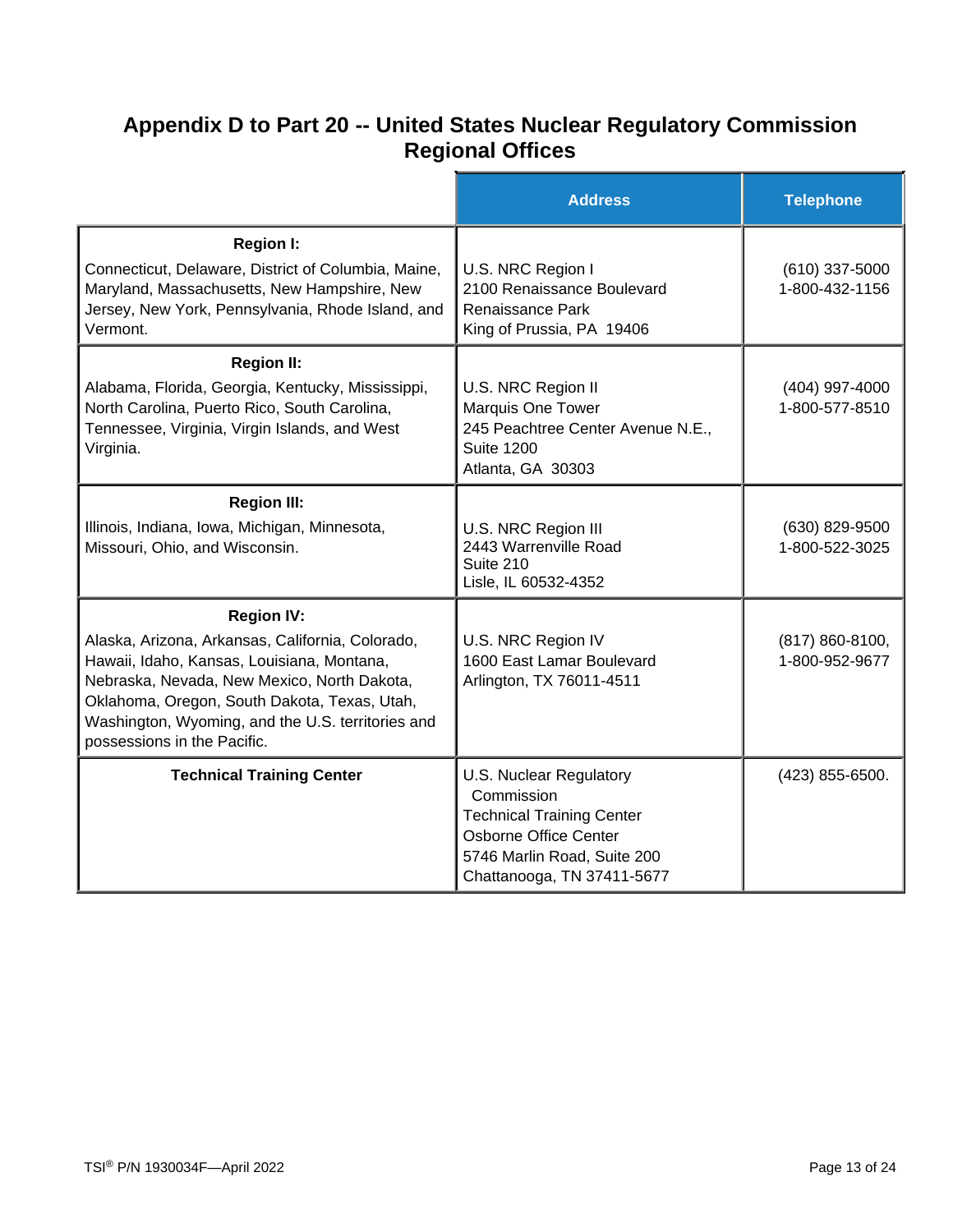### **Appendix D to Part 20 -- United States Nuclear Regulatory Commission Regional Offices**

|                                                                                                                                                                                                                                                                                                        | <b>Address</b>                                                                                                                                                         | <b>Telephone</b>                      |
|--------------------------------------------------------------------------------------------------------------------------------------------------------------------------------------------------------------------------------------------------------------------------------------------------------|------------------------------------------------------------------------------------------------------------------------------------------------------------------------|---------------------------------------|
| <b>Region I:</b><br>Connecticut, Delaware, District of Columbia, Maine,<br>Maryland, Massachusetts, New Hampshire, New<br>Jersey, New York, Pennsylvania, Rhode Island, and<br>Vermont.                                                                                                                | U.S. NRC Region I<br>2100 Renaissance Boulevard<br>Renaissance Park<br>King of Prussia, PA 19406                                                                       | (610) 337-5000<br>1-800-432-1156      |
| <b>Region II:</b><br>Alabama, Florida, Georgia, Kentucky, Mississippi,<br>North Carolina, Puerto Rico, South Carolina,<br>Tennessee, Virginia, Virgin Islands, and West<br>Virginia.                                                                                                                   | U.S. NRC Region II<br>Marquis One Tower<br>245 Peachtree Center Avenue N.E.,<br><b>Suite 1200</b><br>Atlanta, GA 30303                                                 | (404) 997-4000<br>1-800-577-8510      |
| <b>Region III:</b><br>Illinois, Indiana, Iowa, Michigan, Minnesota,<br>Missouri, Ohio, and Wisconsin.                                                                                                                                                                                                  | U.S. NRC Region III<br>2443 Warrenville Road<br>Suite 210<br>Lisle, IL 60532-4352                                                                                      | (630) 829-9500<br>1-800-522-3025      |
| <b>Region IV:</b><br>Alaska, Arizona, Arkansas, California, Colorado,<br>Hawaii, Idaho, Kansas, Louisiana, Montana,<br>Nebraska, Nevada, New Mexico, North Dakota,<br>Oklahoma, Oregon, South Dakota, Texas, Utah,<br>Washington, Wyoming, and the U.S. territories and<br>possessions in the Pacific. | U.S. NRC Region IV<br>1600 East Lamar Boulevard<br>Arlington, TX 76011-4511                                                                                            | $(817) 860 - 8100,$<br>1-800-952-9677 |
| <b>Technical Training Center</b>                                                                                                                                                                                                                                                                       | U.S. Nuclear Regulatory<br>Commission<br><b>Technical Training Center</b><br><b>Osborne Office Center</b><br>5746 Marlin Road, Suite 200<br>Chattanooga, TN 37411-5677 | (423) 855-6500.                       |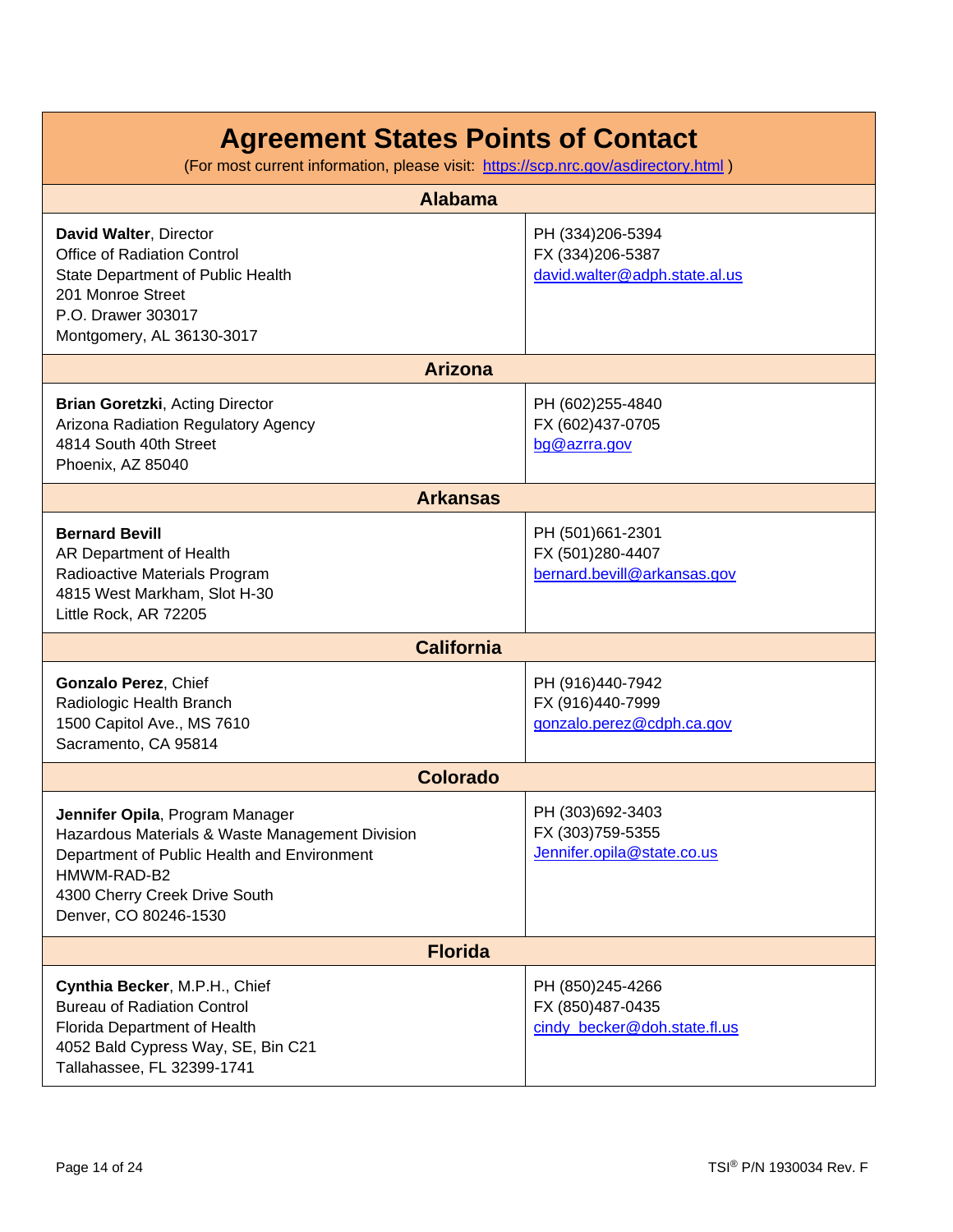| <b>Alabama</b>                                                                                                                                                                                             |                                                                       |  |
|------------------------------------------------------------------------------------------------------------------------------------------------------------------------------------------------------------|-----------------------------------------------------------------------|--|
| David Walter, Director<br><b>Office of Radiation Control</b><br>State Department of Public Health<br>201 Monroe Street<br>P.O. Drawer 303017<br>Montgomery, AL 36130-3017                                  | PH (334)206-5394<br>FX (334)206-5387<br>david.walter@adph.state.al.us |  |
| <b>Arizona</b>                                                                                                                                                                                             |                                                                       |  |
| <b>Brian Goretzki, Acting Director</b><br>Arizona Radiation Regulatory Agency<br>4814 South 40th Street<br>Phoenix, AZ 85040                                                                               | PH (602)255-4840<br>FX (602)437-0705<br>bg@azrra.gov                  |  |
| <b>Arkansas</b>                                                                                                                                                                                            |                                                                       |  |
| <b>Bernard Bevill</b><br>AR Department of Health<br>Radioactive Materials Program<br>4815 West Markham, Slot H-30<br>Little Rock, AR 72205                                                                 | PH (501)661-2301<br>FX (501)280-4407<br>bernard.bevill@arkansas.gov   |  |
| <b>California</b>                                                                                                                                                                                          |                                                                       |  |
| Gonzalo Perez, Chief<br>Radiologic Health Branch<br>1500 Capitol Ave., MS 7610<br>Sacramento, CA 95814                                                                                                     | PH (916)440-7942<br>FX (916)440-7999<br>gonzalo.perez@cdph.ca.gov     |  |
| <b>Colorado</b>                                                                                                                                                                                            |                                                                       |  |
| Jennifer Opila, Program Manager<br>Hazardous Materials & Waste Management Division<br>Department of Public Health and Environment<br>HMWM-RAD-B2<br>4300 Cherry Creek Drive South<br>Denver, CO 80246-1530 | PH (303)692-3403<br>FX (303)759-5355<br>Jennifer.opila@state.co.us    |  |
| <b>Florida</b>                                                                                                                                                                                             |                                                                       |  |
| Cynthia Becker, M.P.H., Chief<br><b>Bureau of Radiation Control</b><br>Florida Department of Health<br>4052 Bald Cypress Way, SE, Bin C21<br>Tallahassee, FL 32399-1741                                    | PH (850)245-4266<br>FX (850)487-0435<br>cindy_becker@doh.state.fl.us  |  |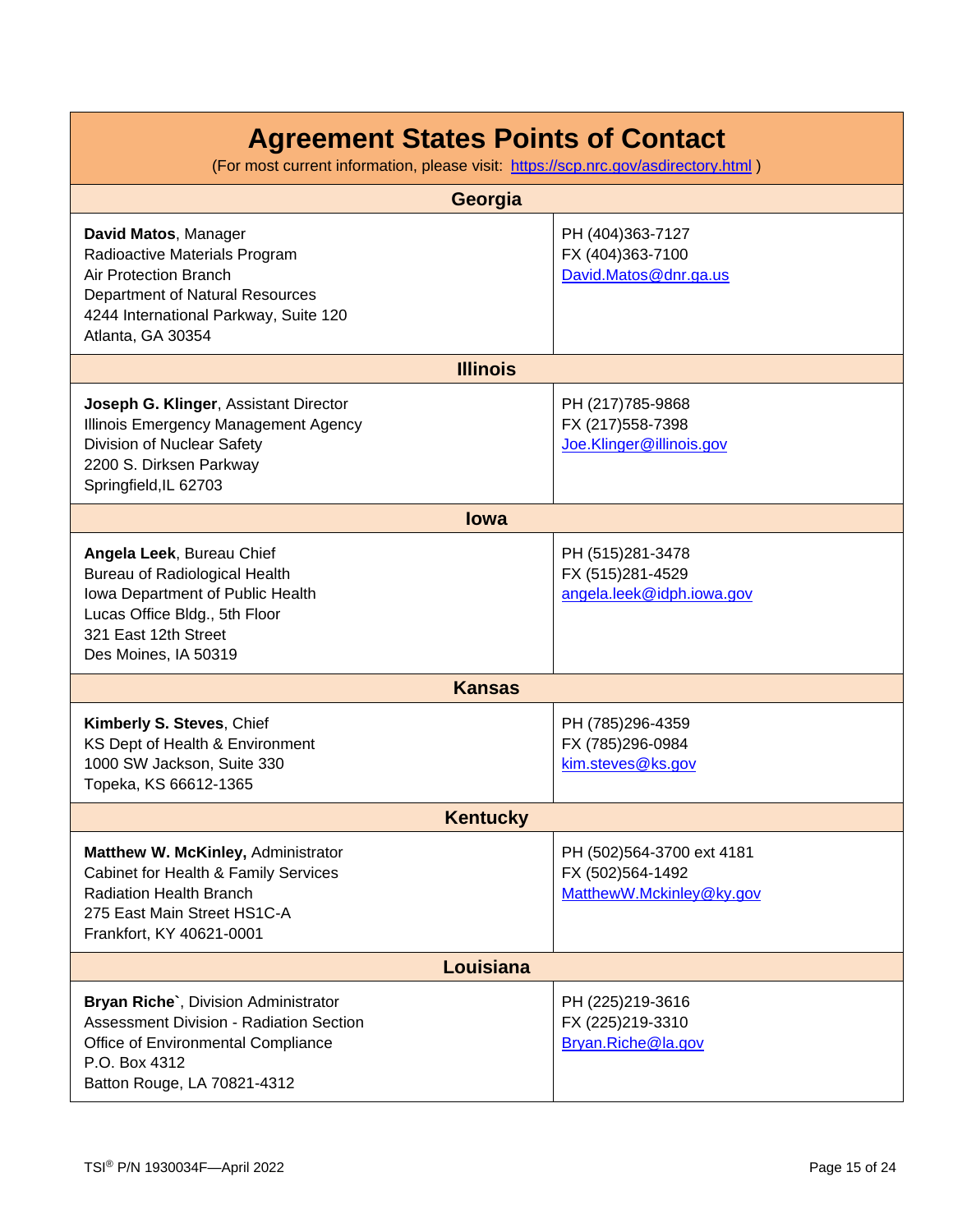| Georgia                                                                                                                                                                                       |                                                                           |  |
|-----------------------------------------------------------------------------------------------------------------------------------------------------------------------------------------------|---------------------------------------------------------------------------|--|
| David Matos, Manager<br>Radioactive Materials Program<br><b>Air Protection Branch</b><br><b>Department of Natural Resources</b><br>4244 International Parkway, Suite 120<br>Atlanta, GA 30354 | PH (404)363-7127<br>FX (404)363-7100<br>David.Matos@dnr.ga.us             |  |
| <b>Illinois</b>                                                                                                                                                                               |                                                                           |  |
| Joseph G. Klinger, Assistant Director<br>Illinois Emergency Management Agency<br>Division of Nuclear Safety<br>2200 S. Dirksen Parkway<br>Springfield, IL 62703                               | PH (217) 785-9868<br>FX (217) 558-7398<br>Joe.Klinger@illinois.gov        |  |
| <b>lowa</b>                                                                                                                                                                                   |                                                                           |  |
| Angela Leek, Bureau Chief<br>Bureau of Radiological Health<br>Iowa Department of Public Health<br>Lucas Office Bldg., 5th Floor<br>321 East 12th Street<br>Des Moines, IA 50319               | PH (515)281-3478<br>FX (515)281-4529<br>angela.leek@idph.iowa.gov         |  |
| <b>Kansas</b>                                                                                                                                                                                 |                                                                           |  |
| Kimberly S. Steves, Chief<br>KS Dept of Health & Environment<br>1000 SW Jackson, Suite 330<br>Topeka, KS 66612-1365                                                                           | PH (785)296-4359<br>FX (785)296-0984<br>kim.steves@ks.gov                 |  |
| <b>Kentucky</b>                                                                                                                                                                               |                                                                           |  |
| Matthew W. McKinley, Administrator<br>Cabinet for Health & Family Services<br><b>Radiation Health Branch</b><br>275 East Main Street HS1C-A<br>Frankfort, KY 40621-0001                       | PH (502)564-3700 ext 4181<br>FX (502)564-1492<br>MatthewW.Mckinley@ky.gov |  |
| Louisiana                                                                                                                                                                                     |                                                                           |  |
| Bryan Riche`, Division Administrator<br><b>Assessment Division - Radiation Section</b><br>Office of Environmental Compliance<br>P.O. Box 4312<br>Batton Rouge, LA 70821-4312                  | PH (225)219-3616<br>FX (225)219-3310<br>Bryan.Riche@la.gov                |  |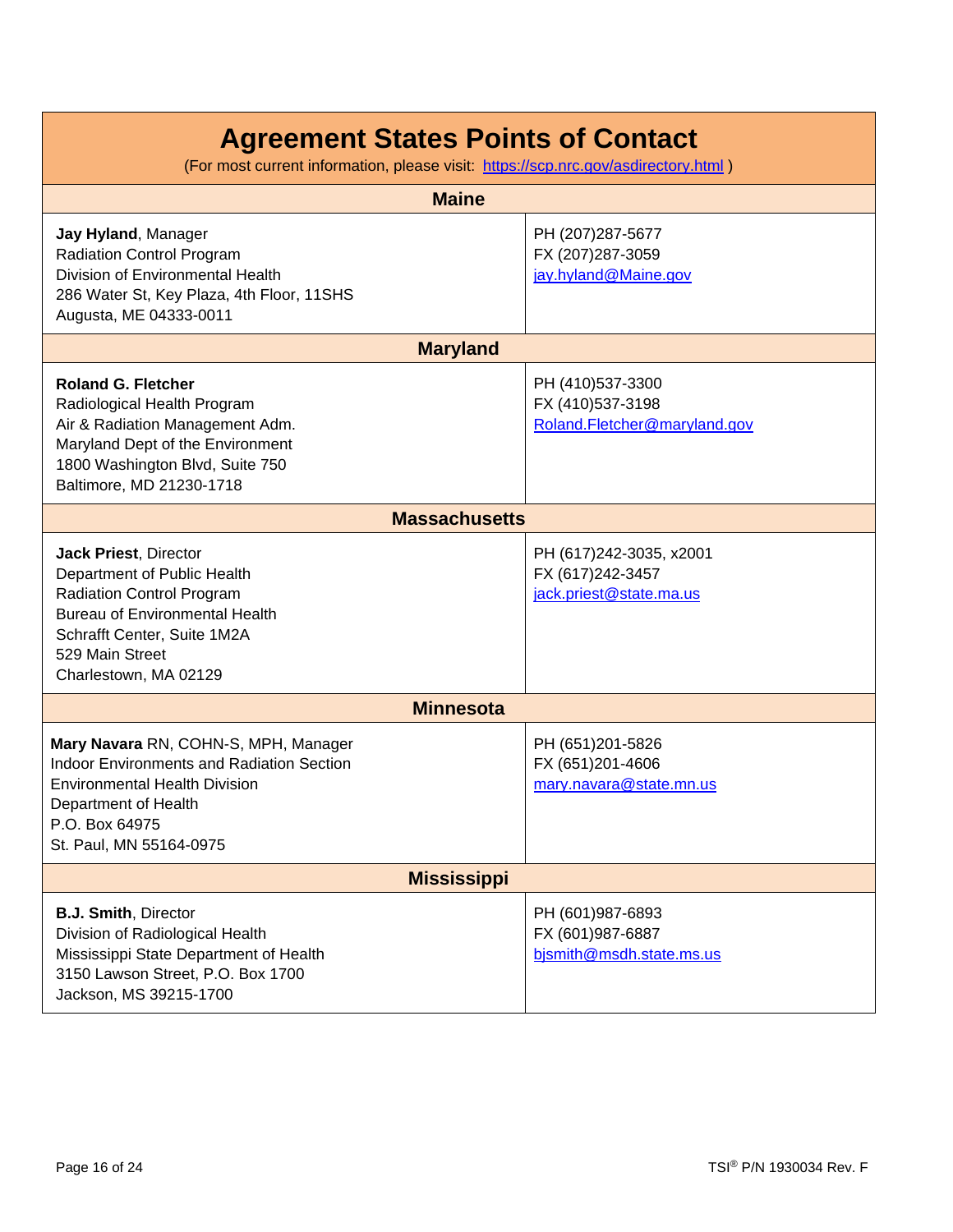| <b>Maine</b>                                                                                                                                                                                                 |                                                                        |  |
|--------------------------------------------------------------------------------------------------------------------------------------------------------------------------------------------------------------|------------------------------------------------------------------------|--|
| Jay Hyland, Manager<br><b>Radiation Control Program</b><br>Division of Environmental Health<br>286 Water St, Key Plaza, 4th Floor, 11SHS<br>Augusta, ME 04333-0011                                           | PH (207)287-5677<br>FX (207)287-3059<br>jay.hyland@Maine.gov           |  |
| <b>Maryland</b>                                                                                                                                                                                              |                                                                        |  |
| <b>Roland G. Fletcher</b><br>Radiological Health Program<br>Air & Radiation Management Adm.<br>Maryland Dept of the Environment<br>1800 Washington Blvd, Suite 750<br>Baltimore, MD 21230-1718               | PH (410)537-3300<br>FX (410)537-3198<br>Roland.Fletcher@maryland.gov   |  |
| <b>Massachusetts</b>                                                                                                                                                                                         |                                                                        |  |
| Jack Priest, Director<br>Department of Public Health<br><b>Radiation Control Program</b><br><b>Bureau of Environmental Health</b><br>Schrafft Center, Suite 1M2A<br>529 Main Street<br>Charlestown, MA 02129 | PH (617)242-3035, x2001<br>FX (617)242-3457<br>jack.priest@state.ma.us |  |
| <b>Minnesota</b>                                                                                                                                                                                             |                                                                        |  |
| Mary Navara RN, COHN-S, MPH, Manager<br><b>Indoor Environments and Radiation Section</b><br><b>Environmental Health Division</b><br>Department of Health<br>P.O. Box 64975<br>St. Paul, MN 55164-0975        | PH (651)201-5826<br>FX (651)201-4606<br>mary.navara@state.mn.us        |  |
| <b>Mississippi</b>                                                                                                                                                                                           |                                                                        |  |
| <b>B.J. Smith, Director</b><br>Division of Radiological Health<br>Mississippi State Department of Health<br>3150 Lawson Street, P.O. Box 1700<br>Jackson, MS 39215-1700                                      | PH (601)987-6893<br>FX (601)987-6887<br>bjsmith@msdh.state.ms.us       |  |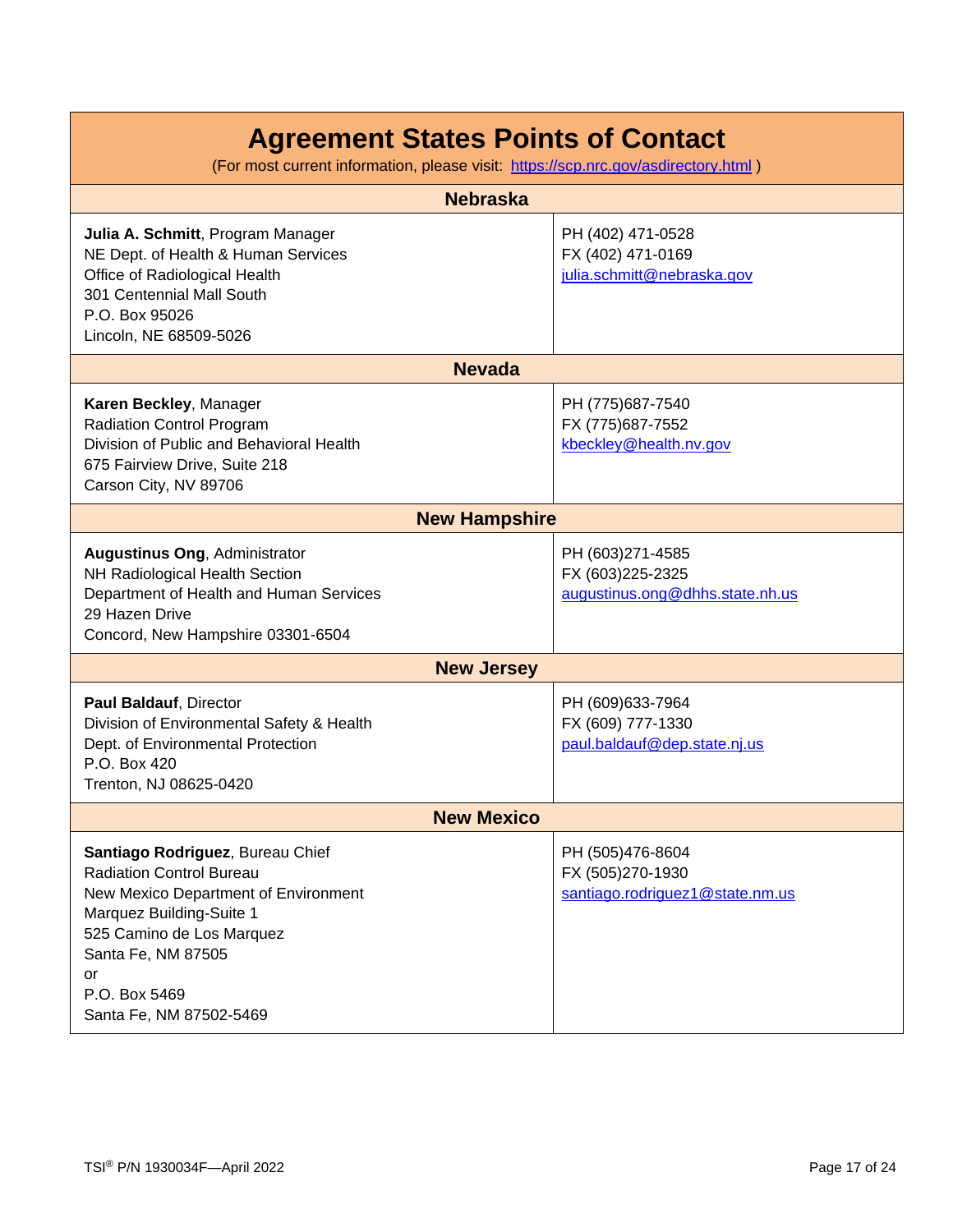| <b>Nebraska</b>                                                                                                                                                                                                                              |                                                                         |  |
|----------------------------------------------------------------------------------------------------------------------------------------------------------------------------------------------------------------------------------------------|-------------------------------------------------------------------------|--|
|                                                                                                                                                                                                                                              |                                                                         |  |
| Julia A. Schmitt, Program Manager<br>NE Dept. of Health & Human Services<br>Office of Radiological Health<br>301 Centennial Mall South<br>P.O. Box 95026<br>Lincoln, NE 68509-5026                                                           | PH (402) 471-0528<br>FX (402) 471-0169<br>julia.schmitt@nebraska.gov    |  |
| <b>Nevada</b>                                                                                                                                                                                                                                |                                                                         |  |
| Karen Beckley, Manager<br><b>Radiation Control Program</b><br>Division of Public and Behavioral Health<br>675 Fairview Drive, Suite 218<br>Carson City, NV 89706                                                                             | PH (775)687-7540<br>FX (775) 687-7552<br>kbeckley@health.nv.gov         |  |
| <b>New Hampshire</b>                                                                                                                                                                                                                         |                                                                         |  |
| <b>Augustinus Ong, Administrator</b><br>NH Radiological Health Section<br>Department of Health and Human Services<br>29 Hazen Drive<br>Concord, New Hampshire 03301-6504                                                                     | PH (603)271-4585<br>FX (603)225-2325<br>augustinus.ong@dhhs.state.nh.us |  |
| <b>New Jersey</b>                                                                                                                                                                                                                            |                                                                         |  |
| Paul Baldauf, Director<br>Division of Environmental Safety & Health<br>Dept. of Environmental Protection<br>P.O. Box 420<br>Trenton, NJ 08625-0420                                                                                           | PH (609)633-7964<br>FX (609) 777-1330<br>paul.baldauf@dep.state.nj.us   |  |
| <b>New Mexico</b>                                                                                                                                                                                                                            |                                                                         |  |
| Santiago Rodriguez, Bureau Chief<br><b>Radiation Control Bureau</b><br>New Mexico Department of Environment<br>Marquez Building-Suite 1<br>525 Camino de Los Marquez<br>Santa Fe, NM 87505<br>or<br>P.O. Box 5469<br>Santa Fe, NM 87502-5469 | PH (505)476-8604<br>FX (505)270-1930<br>santiago.rodriguez1@state.nm.us |  |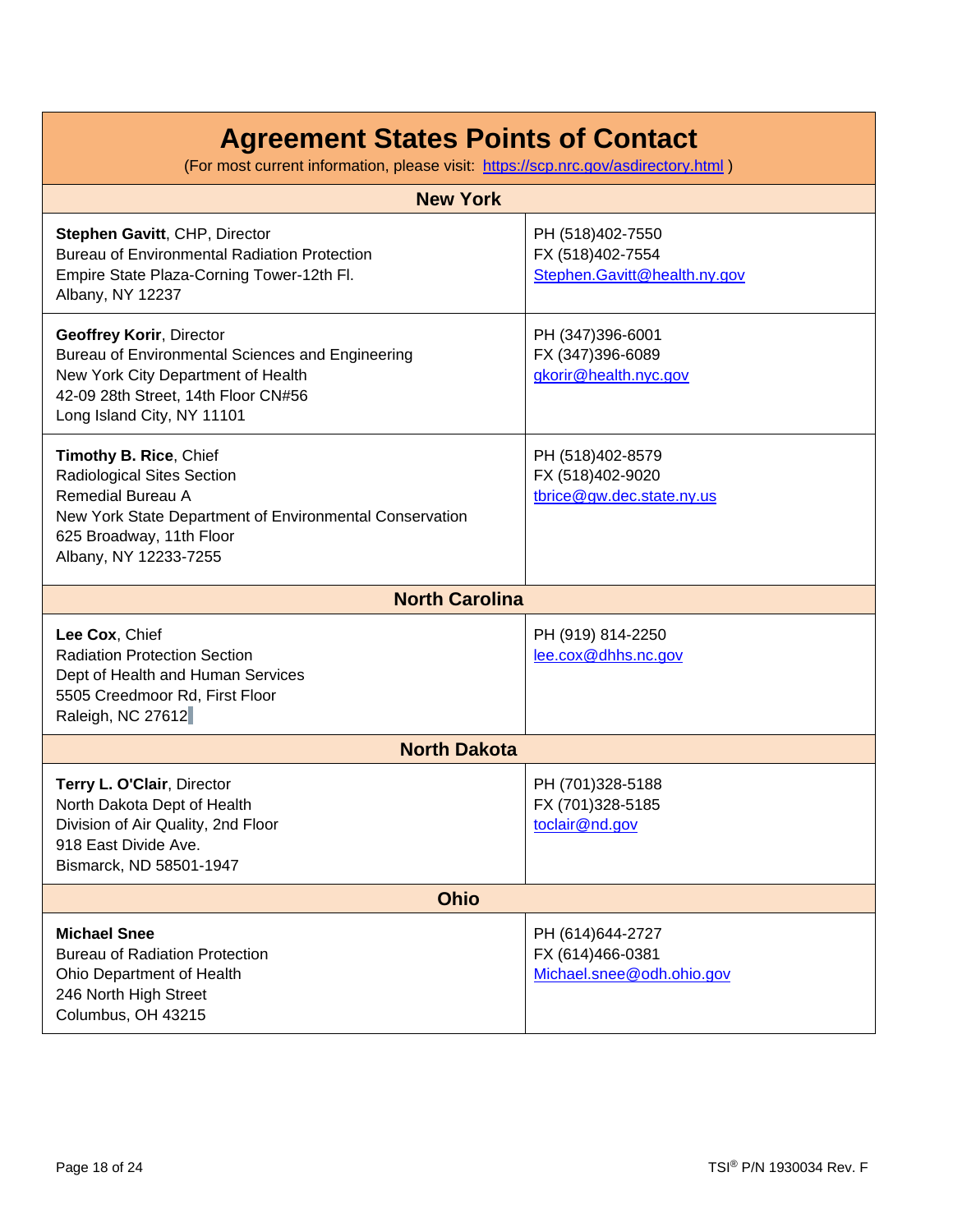| <b>New York</b>                                                                                                                                                                                  |                                                                      |  |
|--------------------------------------------------------------------------------------------------------------------------------------------------------------------------------------------------|----------------------------------------------------------------------|--|
| Stephen Gavitt, CHP, Director<br><b>Bureau of Environmental Radiation Protection</b><br>Empire State Plaza-Corning Tower-12th Fl.<br>Albany, NY 12237                                            | PH (518)402-7550<br>FX (518)402-7554<br>Stephen.Gavitt@health.ny.gov |  |
| <b>Geoffrey Korir, Director</b><br>Bureau of Environmental Sciences and Engineering<br>New York City Department of Health<br>42-09 28th Street, 14th Floor CN#56<br>Long Island City, NY 11101   | PH (347)396-6001<br>FX (347)396-6089<br>gkorir@health.nyc.gov        |  |
| Timothy B. Rice, Chief<br>Radiological Sites Section<br><b>Remedial Bureau A</b><br>New York State Department of Environmental Conservation<br>625 Broadway, 11th Floor<br>Albany, NY 12233-7255 | PH (518)402-8579<br>FX (518)402-9020<br>tbrice@gw.dec.state.ny.us    |  |
| <b>North Carolina</b>                                                                                                                                                                            |                                                                      |  |
| Lee Cox, Chief<br><b>Radiation Protection Section</b><br>Dept of Health and Human Services<br>5505 Creedmoor Rd, First Floor<br>Raleigh, NC 27612                                                | PH (919) 814-2250<br>lee.cox@dhhs.nc.gov                             |  |
| <b>North Dakota</b>                                                                                                                                                                              |                                                                      |  |
| Terry L. O'Clair, Director<br>North Dakota Dept of Health<br>Division of Air Quality, 2nd Floor<br>918 East Divide Ave.<br>Bismarck, ND 58501-1947                                               | PH (701)328-5188<br>FX (701)328-5185<br>toclair@nd.gov               |  |
| <b>Ohio</b>                                                                                                                                                                                      |                                                                      |  |
| <b>Michael Snee</b><br><b>Bureau of Radiation Protection</b><br>Ohio Department of Health<br>246 North High Street<br>Columbus, OH 43215                                                         | PH (614)644-2727<br>FX (614)466-0381<br>Michael.snee@odh.ohio.gov    |  |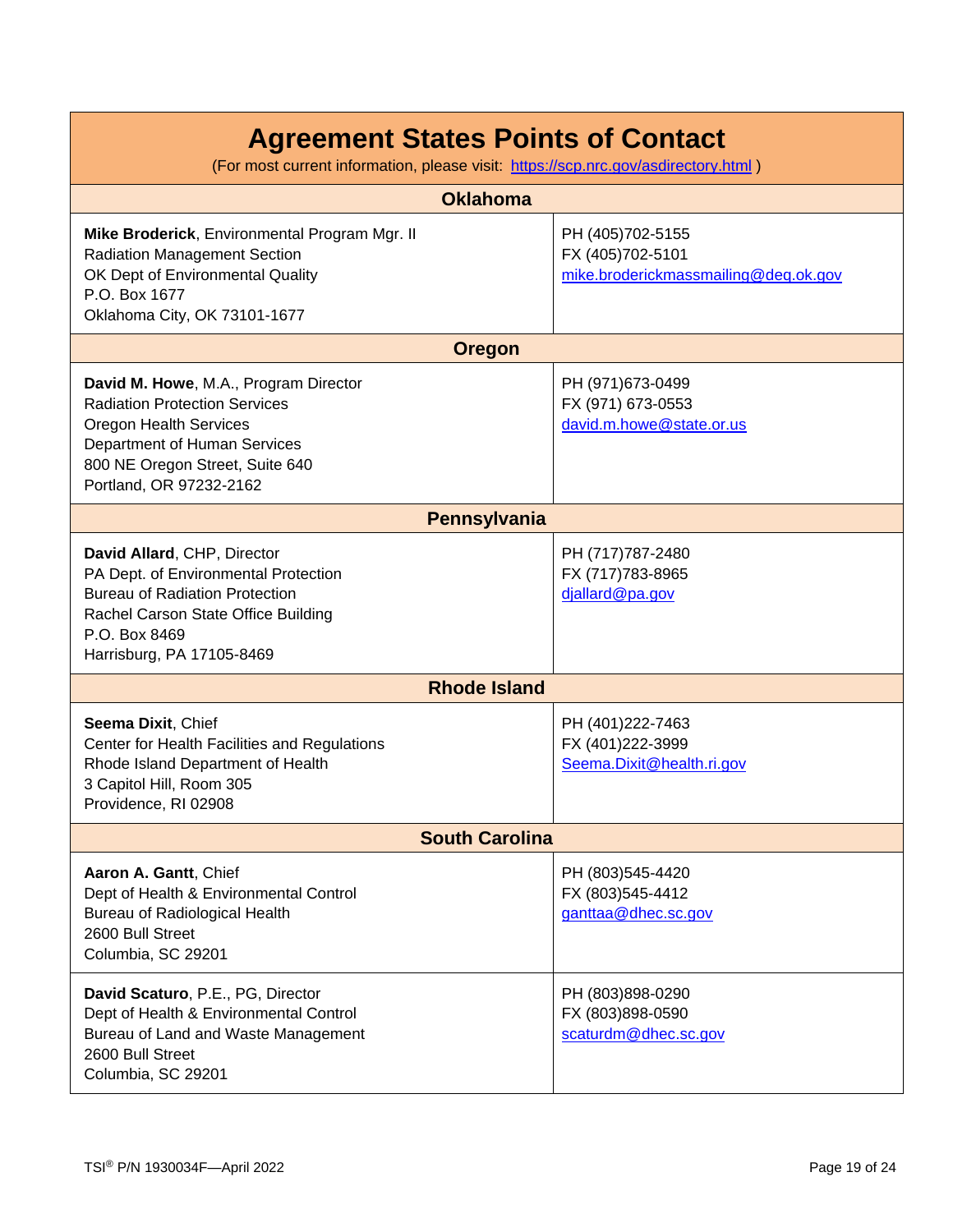(For most current information, please visit: <https://scp.nrc.gov/asdirectory.html>)

| <b>Oklahoma</b>                                                                                                                                                                                              |                                                                              |  |
|--------------------------------------------------------------------------------------------------------------------------------------------------------------------------------------------------------------|------------------------------------------------------------------------------|--|
| Mike Broderick, Environmental Program Mgr. II<br><b>Radiation Management Section</b><br>OK Dept of Environmental Quality<br>P.O. Box 1677<br>Oklahoma City, OK 73101-1677                                    | PH (405)702-5155<br>FX (405)702-5101<br>mike.broderickmassmailing@deq.ok.gov |  |
| <b>Oregon</b>                                                                                                                                                                                                |                                                                              |  |
| David M. Howe, M.A., Program Director<br><b>Radiation Protection Services</b><br><b>Oregon Health Services</b><br>Department of Human Services<br>800 NE Oregon Street, Suite 640<br>Portland, OR 97232-2162 | PH (971) 673-0499<br>FX (971) 673-0553<br>david.m.howe@state.or.us           |  |
| Pennsylvania                                                                                                                                                                                                 |                                                                              |  |
| David Allard, CHP, Director<br>PA Dept. of Environmental Protection<br><b>Bureau of Radiation Protection</b><br>Rachel Carson State Office Building<br>P.O. Box 8469<br>Harrisburg, PA 17105-8469            | PH (717) 787-2480<br>FX (717)783-8965<br>djallard@pa.gov                     |  |
| <b>Rhode Island</b>                                                                                                                                                                                          |                                                                              |  |
| Seema Dixit, Chief<br>Center for Health Facilities and Regulations<br>Rhode Island Department of Health<br>3 Capitol Hill, Room 305<br>Providence, RI 02908                                                  | PH (401)222-7463<br>FX (401)222-3999<br>Seema.Dixit@health.ri.gov            |  |
| <b>South Carolina</b>                                                                                                                                                                                        |                                                                              |  |
| Aaron A. Gantt, Chief<br>Dept of Health & Environmental Control<br>Bureau of Radiological Health<br>2600 Bull Street<br>Columbia, SC 29201                                                                   | PH (803)545-4420<br>FX (803)545-4412<br>ganttaa@dhec.sc.gov                  |  |
| David Scaturo, P.E., PG, Director<br>Dept of Health & Environmental Control<br>Bureau of Land and Waste Management<br>2600 Bull Street<br>Columbia, SC 29201                                                 | PH (803)898-0290<br>FX (803)898-0590<br>scaturdm@dhec.sc.gov                 |  |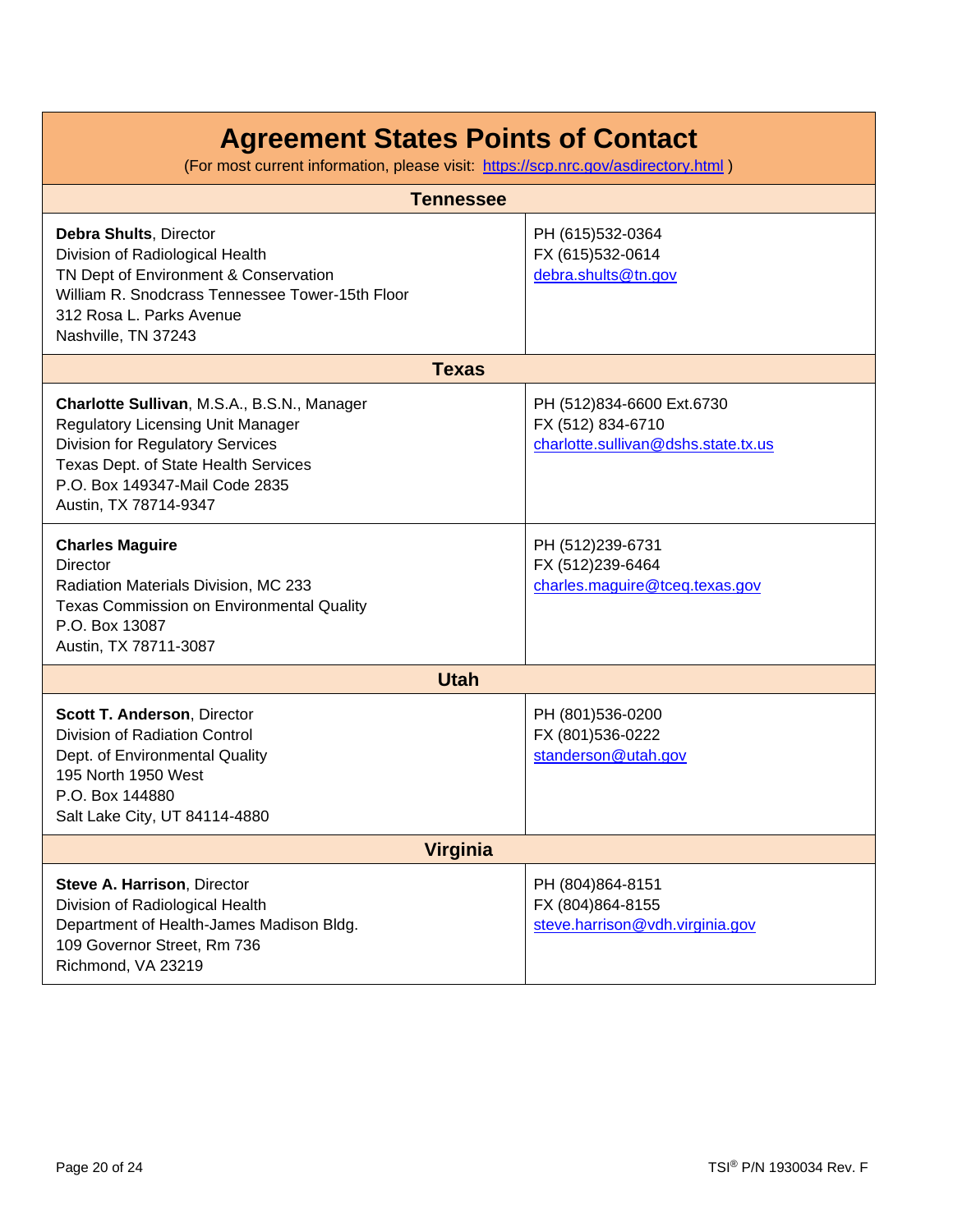| <b>Tennessee</b>                                                                                                                                                                                                                      |                                                                                       |  |
|---------------------------------------------------------------------------------------------------------------------------------------------------------------------------------------------------------------------------------------|---------------------------------------------------------------------------------------|--|
| <b>Debra Shults, Director</b><br>Division of Radiological Health<br>TN Dept of Environment & Conservation<br>William R. Snodcrass Tennessee Tower-15th Floor<br>312 Rosa L. Parks Avenue<br>Nashville, TN 37243                       | PH (615)532-0364<br>FX (615)532-0614<br>debra.shults@tn.gov                           |  |
| <b>Texas</b>                                                                                                                                                                                                                          |                                                                                       |  |
| Charlotte Sullivan, M.S.A., B.S.N., Manager<br><b>Regulatory Licensing Unit Manager</b><br><b>Division for Regulatory Services</b><br>Texas Dept. of State Health Services<br>P.O. Box 149347-Mail Code 2835<br>Austin, TX 78714-9347 | PH (512)834-6600 Ext.6730<br>FX (512) 834-6710<br>charlotte.sullivan@dshs.state.tx.us |  |
| <b>Charles Maguire</b><br>Director<br>Radiation Materials Division, MC 233<br>Texas Commission on Environmental Quality<br>P.O. Box 13087<br>Austin, TX 78711-3087                                                                    | PH (512)239-6731<br>FX (512)239-6464<br>charles.maguire@tceq.texas.gov                |  |
| <b>Utah</b>                                                                                                                                                                                                                           |                                                                                       |  |
| Scott T. Anderson, Director<br>Division of Radiation Control<br>Dept. of Environmental Quality<br>195 North 1950 West<br>P.O. Box 144880<br>Salt Lake City, UT 84114-4880                                                             | PH (801)536-0200<br>FX (801)536-0222<br>standerson@utah.gov                           |  |
| <b>Virginia</b>                                                                                                                                                                                                                       |                                                                                       |  |
| Steve A. Harrison, Director<br>Division of Radiological Health<br>Department of Health-James Madison Bldg.<br>109 Governor Street, Rm 736<br>Richmond, VA 23219                                                                       | PH (804)864-8151<br>FX (804)864-8155<br>steve.harrison@vdh.virginia.gov               |  |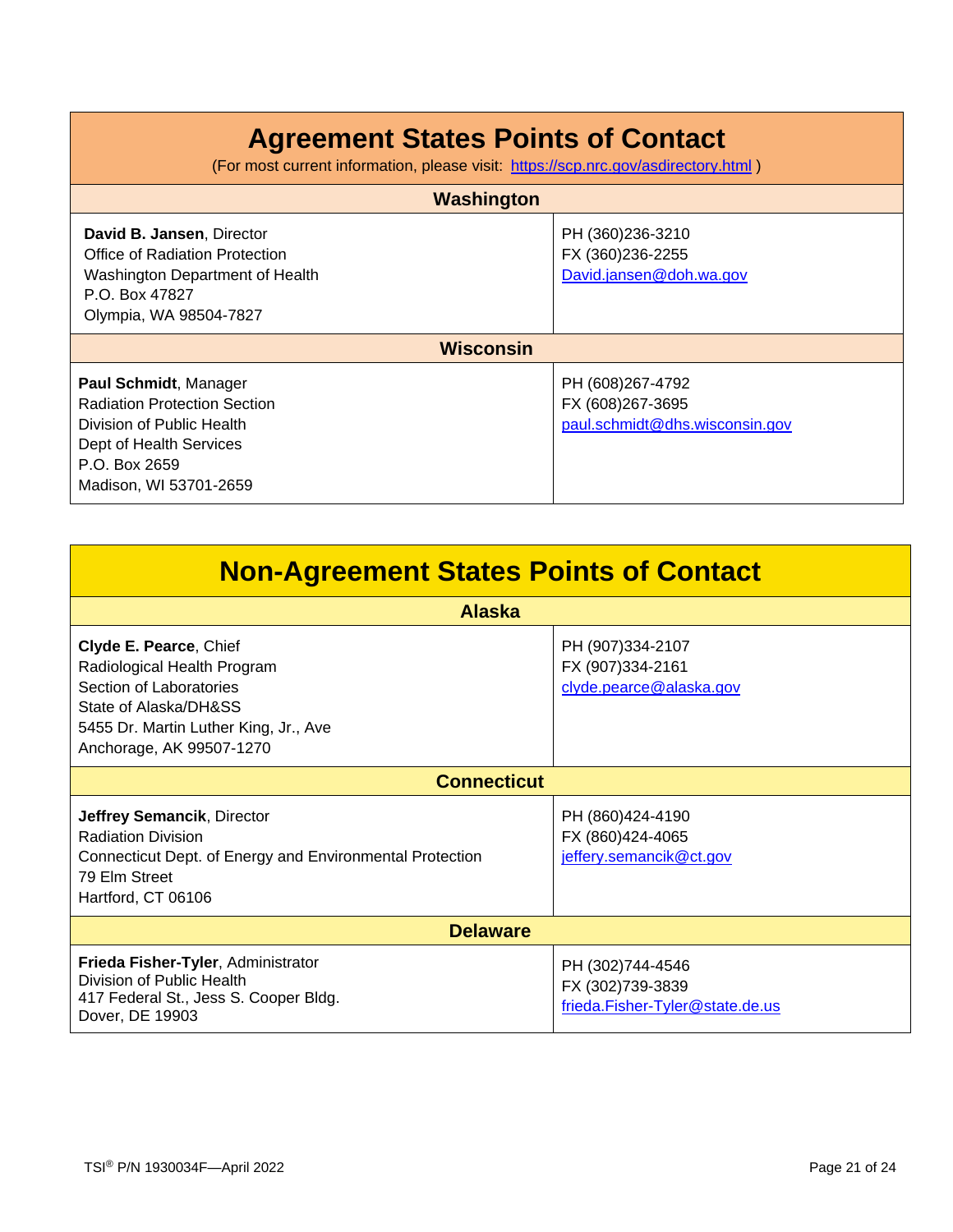| Washington                                                                                                                                                      |                                                                        |  |
|-----------------------------------------------------------------------------------------------------------------------------------------------------------------|------------------------------------------------------------------------|--|
| David B. Jansen, Director<br>Office of Radiation Protection<br>Washington Department of Health<br>P.O. Box 47827<br>Olympia, WA 98504-7827                      | PH (360)236-3210<br>FX (360)236-2255<br>David.jansen@doh.wa.gov        |  |
| <b>Wisconsin</b>                                                                                                                                                |                                                                        |  |
| Paul Schmidt, Manager<br><b>Radiation Protection Section</b><br>Division of Public Health<br>Dept of Health Services<br>P.O. Box 2659<br>Madison, WI 53701-2659 | PH (608)267-4792<br>FX (608)267-3695<br>paul.schmidt@dhs.wisconsin.gov |  |

| <b>Non-Agreement States Points of Contact</b>                                                                                                                                  |                                                                         |  |
|--------------------------------------------------------------------------------------------------------------------------------------------------------------------------------|-------------------------------------------------------------------------|--|
| <b>Alaska</b>                                                                                                                                                                  |                                                                         |  |
| Clyde E. Pearce, Chief<br>Radiological Health Program<br>Section of Laboratories<br>State of Alaska/DH&SS<br>5455 Dr. Martin Luther King, Jr., Ave<br>Anchorage, AK 99507-1270 | PH (907)334-2107<br>FX (907)334-2161<br>clyde.pearce@alaska.gov         |  |
| <b>Connecticut</b>                                                                                                                                                             |                                                                         |  |
| Jeffrey Semancik, Director<br><b>Radiation Division</b><br>Connecticut Dept. of Energy and Environmental Protection<br>79 Elm Street<br>Hartford, CT 06106                     | PH (860)424-4190<br>FX (860)424-4065<br>jeffery.semancik@ct.gov         |  |
| <b>Delaware</b>                                                                                                                                                                |                                                                         |  |
| Frieda Fisher-Tyler, Administrator<br>Division of Public Health<br>417 Federal St., Jess S. Cooper Bldg.<br>Dover, DE 19903                                                    | PH (302)744-4546<br>FX (302)739-3839<br>frieda.Fisher-Tyler@state.de.us |  |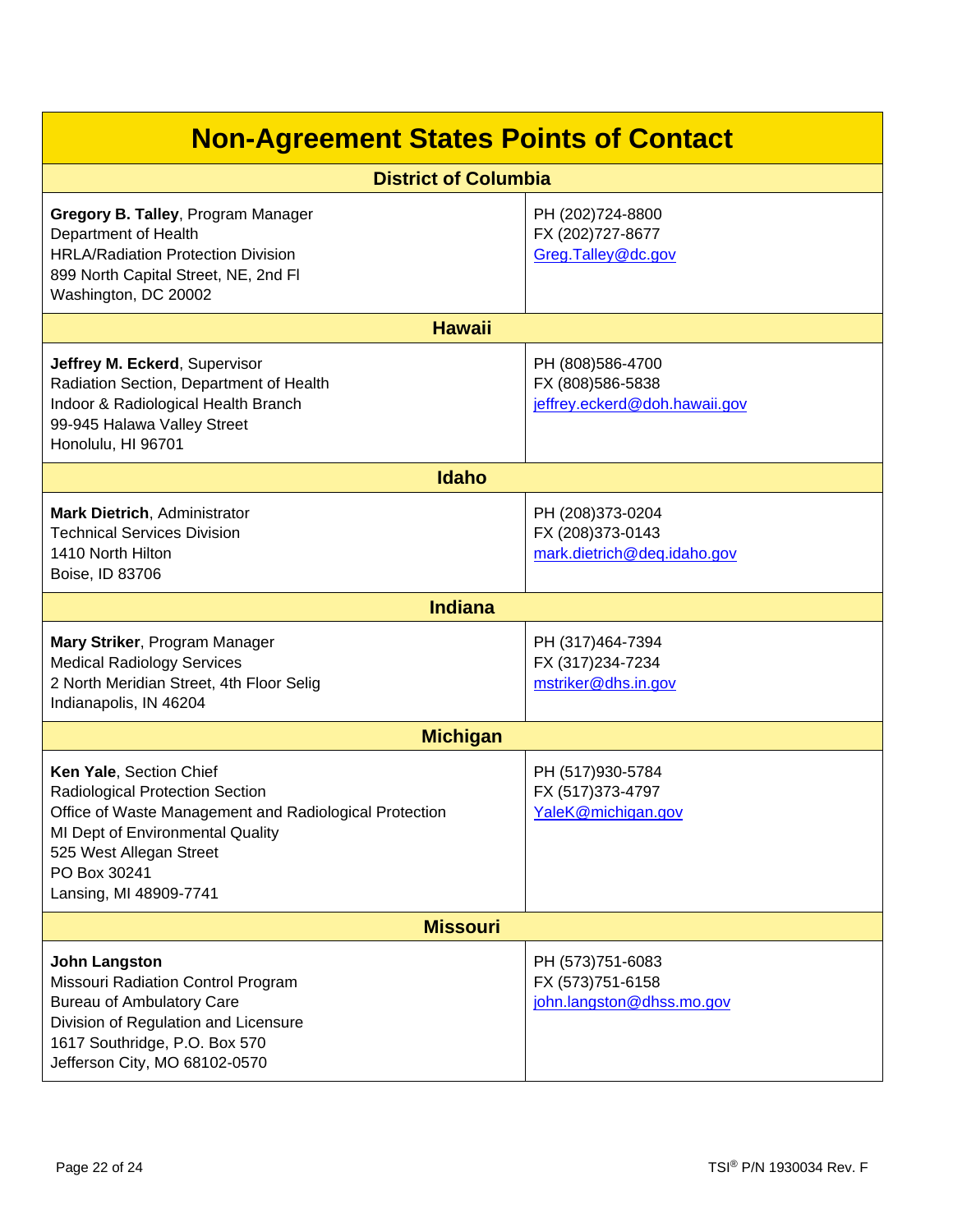| <b>Non-Agreement States Points of Contact</b>                                                                                                                                                                                 |                                                                       |  |
|-------------------------------------------------------------------------------------------------------------------------------------------------------------------------------------------------------------------------------|-----------------------------------------------------------------------|--|
| <b>District of Columbia</b>                                                                                                                                                                                                   |                                                                       |  |
| Gregory B. Talley, Program Manager<br>Department of Health<br><b>HRLA/Radiation Protection Division</b><br>899 North Capital Street, NE, 2nd Fl<br>Washington, DC 20002                                                       | PH (202)724-8800<br>FX (202)727-8677<br>Greg. Talley@dc.gov           |  |
| <b>Hawaii</b>                                                                                                                                                                                                                 |                                                                       |  |
| Jeffrey M. Eckerd, Supervisor<br>Radiation Section, Department of Health<br>Indoor & Radiological Health Branch<br>99-945 Halawa Valley Street<br>Honolulu, HI 96701                                                          | PH (808)586-4700<br>FX (808)586-5838<br>jeffrey.eckerd@doh.hawaii.gov |  |
| <b>Idaho</b>                                                                                                                                                                                                                  |                                                                       |  |
| <b>Mark Dietrich, Administrator</b><br><b>Technical Services Division</b><br>1410 North Hilton<br>Boise, ID 83706                                                                                                             | PH (208)373-0204<br>FX (208)373-0143<br>mark.dietrich@deq.idaho.gov   |  |
| <b>Indiana</b>                                                                                                                                                                                                                |                                                                       |  |
| Mary Striker, Program Manager<br><b>Medical Radiology Services</b><br>2 North Meridian Street, 4th Floor Selig<br>Indianapolis, IN 46204                                                                                      | PH (317)464-7394<br>FX (317)234-7234<br>mstriker@dhs.in.gov           |  |
| <b>Michigan</b>                                                                                                                                                                                                               |                                                                       |  |
| Ken Yale, Section Chief<br>Radiological Protection Section<br>Office of Waste Management and Radiological Protection<br>MI Dept of Environmental Quality<br>525 West Allegan Street<br>PO Box 30241<br>Lansing, MI 48909-7741 | PH (517)930-5784<br>FX (517)373-4797<br>YaleK@michigan.gov            |  |
| <b>Missouri</b>                                                                                                                                                                                                               |                                                                       |  |
| <b>John Langston</b><br>Missouri Radiation Control Program<br><b>Bureau of Ambulatory Care</b><br>Division of Regulation and Licensure<br>1617 Southridge, P.O. Box 570<br>Jefferson City, MO 68102-0570                      | PH (573)751-6083<br>FX (573)751-6158<br>john.langston@dhss.mo.gov     |  |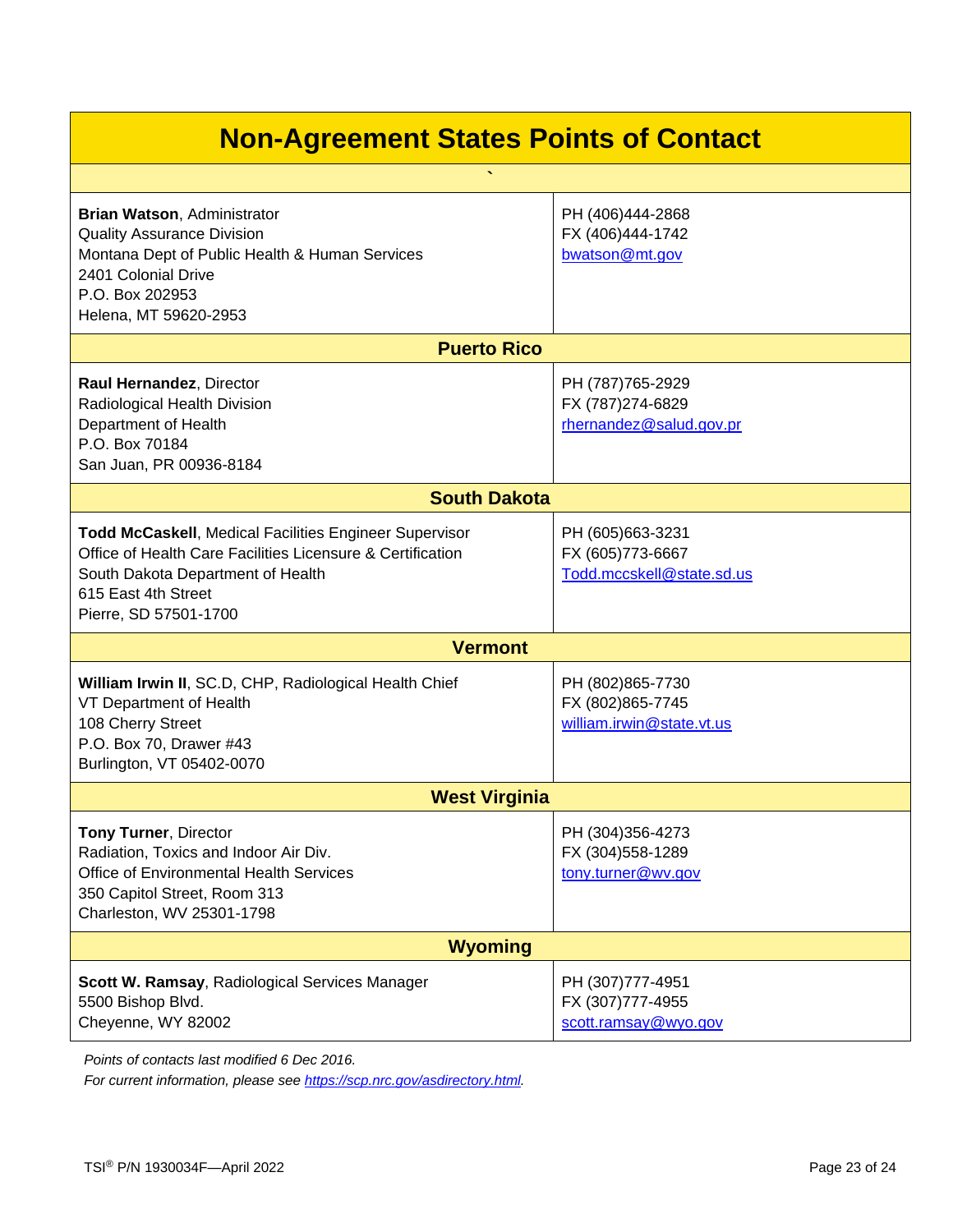| $\overline{\phantom{a}}$                                                                                                                                                                                  |                                                                    |  |  |
|-----------------------------------------------------------------------------------------------------------------------------------------------------------------------------------------------------------|--------------------------------------------------------------------|--|--|
| Brian Watson, Administrator<br><b>Quality Assurance Division</b><br>Montana Dept of Public Health & Human Services<br>2401 Colonial Drive<br>P.O. Box 202953<br>Helena, MT 59620-2953                     | PH (406)444-2868<br>FX (406)444-1742<br>bwatson@mt.gov             |  |  |
| <b>Puerto Rico</b>                                                                                                                                                                                        |                                                                    |  |  |
| Raul Hernandez, Director<br>Radiological Health Division<br>Department of Health<br>P.O. Box 70184<br>San Juan, PR 00936-8184                                                                             | PH (787)765-2929<br>FX (787)274-6829<br>rhernandez@salud.gov.pr    |  |  |
| <b>South Dakota</b>                                                                                                                                                                                       |                                                                    |  |  |
| Todd McCaskell, Medical Facilities Engineer Supervisor<br>Office of Health Care Facilities Licensure & Certification<br>South Dakota Department of Health<br>615 East 4th Street<br>Pierre, SD 57501-1700 | PH (605)663-3231<br>FX (605)773-6667<br>Todd.mccskell@state.sd.us  |  |  |
| <b>Vermont</b>                                                                                                                                                                                            |                                                                    |  |  |
| William Irwin II, SC.D, CHP, Radiological Health Chief<br>VT Department of Health<br>108 Cherry Street<br>P.O. Box 70, Drawer #43<br>Burlington, VT 05402-0070                                            | PH (802)865-7730<br>FX (802) 865-7745<br>william.irwin@state.vt.us |  |  |
| <b>West Virginia</b>                                                                                                                                                                                      |                                                                    |  |  |
| Tony Turner, Director<br>Radiation, Toxics and Indoor Air Div.<br>Office of Environmental Health Services<br>350 Capitol Street, Room 313<br>Charleston, WV 25301-1798                                    | PH (304)356-4273<br>FX (304)558-1289<br>tony.turner@wv.gov         |  |  |
| <b>Wyoming</b>                                                                                                                                                                                            |                                                                    |  |  |
| Scott W. Ramsay, Radiological Services Manager<br>5500 Bishop Blvd.<br>Cheyenne, WY 82002                                                                                                                 | PH (307)777-4951<br>FX (307)777-4955<br>scott.ramsay@wyo.gov       |  |  |

*Points of contacts last modified 6 Dec 2016.*

*For current information, please see [https://scp.nrc.gov/asdirectory.html.](https://scp.nrc.gov/asdirectory.html)*